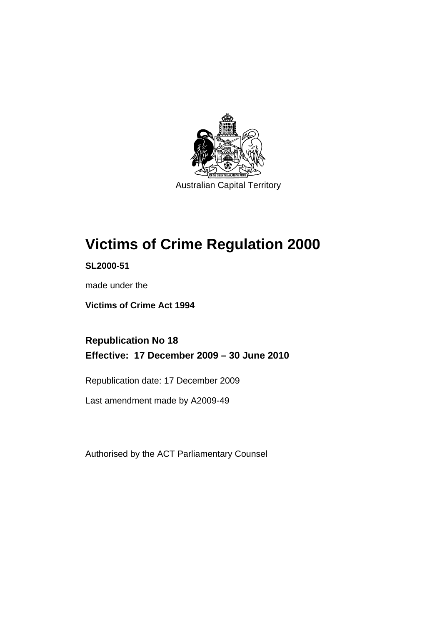

Australian Capital Territory

# **[Victims of Crime Regulation 2000](#page-6-0)**

**SL2000-51** 

made under the

**[Victims of Crime Act 1994](#page-6-0)** 

**Republication No 18 Effective: 17 December 2009 – 30 June 2010** 

Republication date: 17 December 2009

Last amendment made by A2009-49

Authorised by the ACT Parliamentary Counsel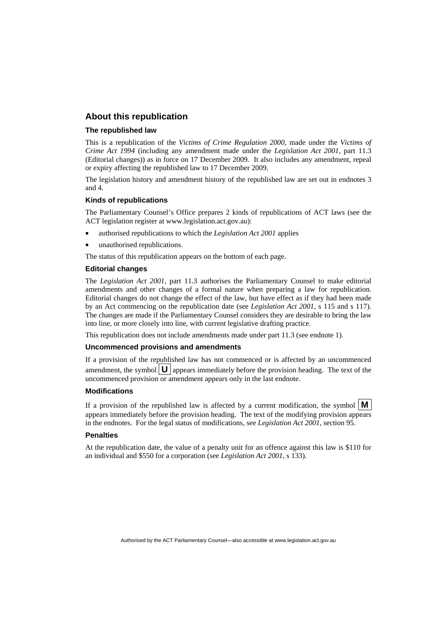### **About this republication**

### **The republished law**

This is a republication of the *Victims of Crime Regulation 2000*, made under the *[Victims of](#page-6-0)  [Crime Act 1994](#page-6-0)* (including any amendment made under the *Legislation Act 2001*, part 11.3 (Editorial changes)) as in force on 17 December 2009*.* It also includes any amendment, repeal or expiry affecting the republished law to 17 December 2009.

The legislation history and amendment history of the republished law are set out in endnotes 3 and 4.

### **Kinds of republications**

The Parliamentary Counsel's Office prepares 2 kinds of republications of ACT laws (see the ACT legislation register at www.legislation.act.gov.au):

- authorised republications to which the *Legislation Act 2001* applies
- unauthorised republications.

The status of this republication appears on the bottom of each page.

### **Editorial changes**

The *Legislation Act 2001*, part 11.3 authorises the Parliamentary Counsel to make editorial amendments and other changes of a formal nature when preparing a law for republication. Editorial changes do not change the effect of the law, but have effect as if they had been made by an Act commencing on the republication date (see *Legislation Act 2001*, s 115 and s 117). The changes are made if the Parliamentary Counsel considers they are desirable to bring the law into line, or more closely into line, with current legislative drafting practice.

This republication does not include amendments made under part 11.3 (see endnote 1).

### **Uncommenced provisions and amendments**

If a provision of the republished law has not commenced or is affected by an uncommenced amendment, the symbol  $\mathbf{U}$  appears immediately before the provision heading. The text of the uncommenced provision  $\overline{or}$  amendment appears only in the last endnote.

#### **Modifications**

If a provision of the republished law is affected by a current modification, the symbol  $\mathbf{M}$ appears immediately before the provision heading. The text of the modifying provision appears in the endnotes. For the legal status of modifications, see *Legislation Act 2001*, section 95.

#### **Penalties**

At the republication date, the value of a penalty unit for an offence against this law is \$110 for an individual and \$550 for a corporation (see *Legislation Act 2001*, s 133).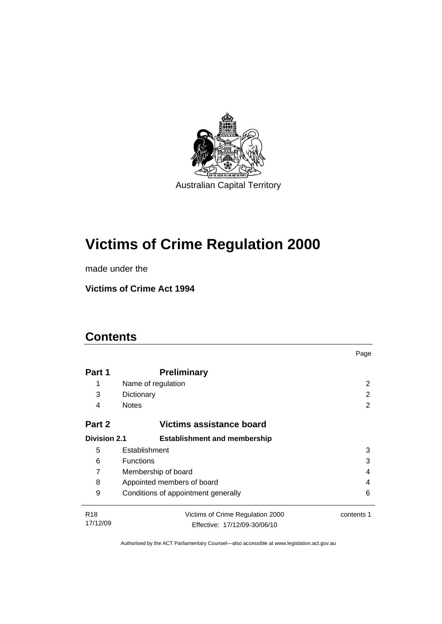

# **[Victims of Crime Regulation 2000](#page-6-0)**

made under the

**[Victims of Crime Act 1994](#page-6-0)** 

## **Contents**

|                                                            |                                                | Page |  |
|------------------------------------------------------------|------------------------------------------------|------|--|
| Part 1                                                     | <b>Preliminary</b>                             |      |  |
| 1                                                          | Name of regulation                             | 2    |  |
| 3                                                          | Dictionary                                     | 2    |  |
| 4                                                          | <b>Notes</b>                                   | 2    |  |
| Victims assistance board<br>Part 2                         |                                                |      |  |
| <b>Division 2.1</b><br><b>Establishment and membership</b> |                                                |      |  |
| 5                                                          | Establishment<br>3                             |      |  |
| 6                                                          | <b>Functions</b><br>3                          |      |  |
| 7                                                          | Membership of board<br>4                       |      |  |
| 8                                                          | Appointed members of board<br>4                |      |  |
| 9                                                          | Conditions of appointment generally<br>6       |      |  |
| R <sub>18</sub>                                            | Victims of Crime Regulation 2000<br>contents 1 |      |  |
| 17/12/09                                                   | Effective: 17/12/09-30/06/10                   |      |  |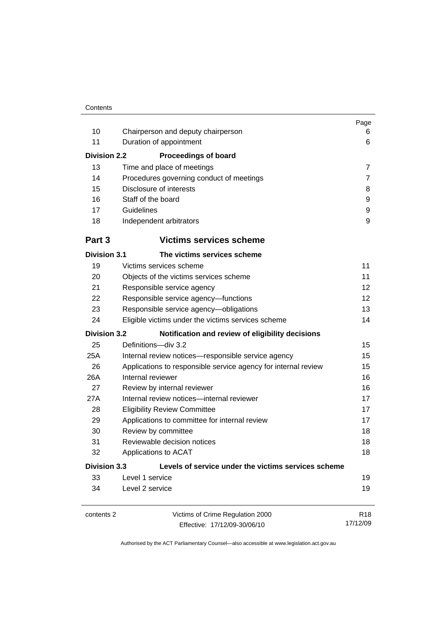| 10<br>11<br><b>Division 2.2</b><br>13<br>14                                | Chairperson and deputy chairperson<br>Duration of appointment<br><b>Proceedings of board</b><br>Time and place of meetings<br>Procedures governing conduct of meetings | Page<br>6<br>6<br>$\overline{7}$<br>7 |  |  |
|----------------------------------------------------------------------------|------------------------------------------------------------------------------------------------------------------------------------------------------------------------|---------------------------------------|--|--|
| 15                                                                         | Disclosure of interests                                                                                                                                                | 8                                     |  |  |
| 16                                                                         | Staff of the board                                                                                                                                                     | 9                                     |  |  |
| 17                                                                         | Guidelines                                                                                                                                                             | 9                                     |  |  |
| 18                                                                         | 9<br>Independent arbitrators                                                                                                                                           |                                       |  |  |
| Part 3                                                                     | <b>Victims services scheme</b>                                                                                                                                         |                                       |  |  |
| <b>Division 3.1</b>                                                        | The victims services scheme                                                                                                                                            |                                       |  |  |
| 19                                                                         | Victims services scheme                                                                                                                                                | 11                                    |  |  |
| 20                                                                         | Objects of the victims services scheme                                                                                                                                 | 11                                    |  |  |
| 21                                                                         | Responsible service agency                                                                                                                                             | 12                                    |  |  |
| 22                                                                         | 12<br>Responsible service agency-functions                                                                                                                             |                                       |  |  |
| 23                                                                         | 13<br>Responsible service agency-obligations                                                                                                                           |                                       |  |  |
| 24                                                                         | 14<br>Eligible victims under the victims services scheme                                                                                                               |                                       |  |  |
| <b>Division 3.2</b><br>Notification and review of eligibility decisions    |                                                                                                                                                                        |                                       |  |  |
| 25                                                                         | Definitions-div 3.2                                                                                                                                                    | 15                                    |  |  |
| 25A                                                                        | Internal review notices-responsible service agency<br>15                                                                                                               |                                       |  |  |
| 26                                                                         | 15<br>Applications to responsible service agency for internal review                                                                                                   |                                       |  |  |
| 26A                                                                        | 16<br>Internal reviewer                                                                                                                                                |                                       |  |  |
| 27                                                                         | 16<br>Review by internal reviewer                                                                                                                                      |                                       |  |  |
| 27A                                                                        | Internal review notices-internal reviewer                                                                                                                              | 17                                    |  |  |
| 28                                                                         | <b>Eligibility Review Committee</b><br>17                                                                                                                              |                                       |  |  |
| 29                                                                         | 17<br>Applications to committee for internal review                                                                                                                    |                                       |  |  |
| 30                                                                         | Review by committee<br>18                                                                                                                                              |                                       |  |  |
| 31                                                                         | Reviewable decision notices<br>18                                                                                                                                      |                                       |  |  |
| 32                                                                         | Applications to ACAT<br>18                                                                                                                                             |                                       |  |  |
| <b>Division 3.3</b><br>Levels of service under the victims services scheme |                                                                                                                                                                        |                                       |  |  |
| 33                                                                         | Level 1 service                                                                                                                                                        | 19                                    |  |  |
| 34                                                                         | 19<br>Level 2 service                                                                                                                                                  |                                       |  |  |
| contents 2                                                                 | Victims of Crime Regulation 2000<br>Effective: 17/12/09-30/06/10                                                                                                       | R <sub>18</sub><br>17/12/09           |  |  |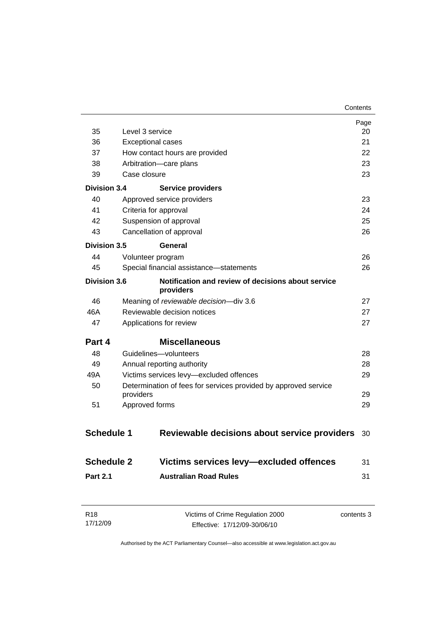|                           |                                                                 | Page<br>20 |
|---------------------------|-----------------------------------------------------------------|------------|
| 35                        | Level 3 service<br>21                                           |            |
| 36                        | <b>Exceptional cases</b>                                        |            |
| 37                        | How contact hours are provided                                  | 22         |
| 38                        | Arbitration-care plans                                          | 23         |
| 39<br><b>Division 3.4</b> | Case closure                                                    | 23         |
|                           | <b>Service providers</b>                                        |            |
| 40                        | Approved service providers                                      | 23         |
| 41                        | Criteria for approval                                           | 24         |
| 42                        | Suspension of approval                                          | 25         |
| 43                        | Cancellation of approval                                        | 26         |
| Division 3.5              | General                                                         |            |
| 44                        | Volunteer program                                               | 26         |
| 45                        | Special financial assistance-statements                         | 26         |
| <b>Division 3.6</b>       | Notification and review of decisions about service<br>providers |            |
| 46                        | Meaning of reviewable decision-div 3.6                          | 27         |
| 46A                       | Reviewable decision notices<br>27                               |            |
| 47                        | Applications for review<br>27                                   |            |
| Part 4                    | <b>Miscellaneous</b>                                            |            |
| 48                        | Guidelines-volunteers                                           | 28         |
| 49                        | 28<br>Annual reporting authority                                |            |
| 49A                       | Victims services levy-excluded offences<br>29                   |            |
| 50                        | Determination of fees for services provided by approved service |            |
|                           | providers                                                       | 29         |
| 51                        | Approved forms                                                  | 29         |
| <b>Schedule 1</b>         | Reviewable decisions about service providers                    | 30         |
| <b>Schedule 2</b>         | Victims services levy-excluded offences                         | 31         |
| <b>Part 2.1</b>           | <b>Australian Road Rules</b>                                    | 31         |
|                           |                                                                 |            |

| R18      | Victims of Crime Regulation 2000 | contents 3 |
|----------|----------------------------------|------------|
| 17/12/09 | Effective: 17/12/09-30/06/10     |            |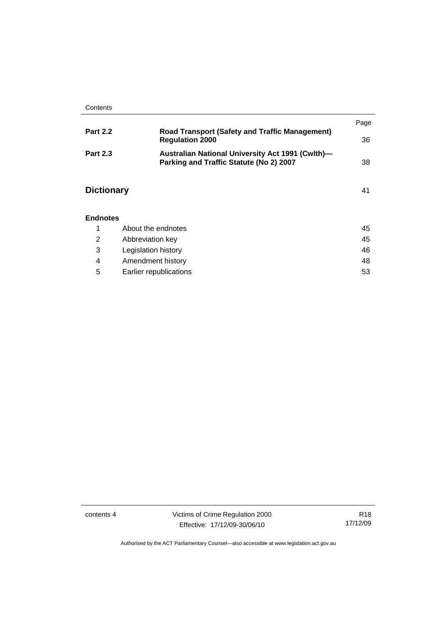|                   |                                                                                             | Page |
|-------------------|---------------------------------------------------------------------------------------------|------|
| <b>Part 2.2</b>   | <b>Road Transport (Safety and Traffic Management)</b><br><b>Regulation 2000</b>             | 36   |
| <b>Part 2.3</b>   | Australian National University Act 1991 (Cwlth)-<br>Parking and Traffic Statute (No 2) 2007 | 38   |
| <b>Dictionary</b> |                                                                                             | 41   |
| <b>Endnotes</b>   |                                                                                             |      |
| 1                 | About the endnotes                                                                          | 45   |
| 2                 | Abbreviation key                                                                            | 45   |

|   | Legislation history    | 46 |
|---|------------------------|----|
|   | Amendment history      | 48 |
| 5 | Earlier republications | 53 |

contents 4 Victims of Crime Regulation 2000 Effective: 17/12/09-30/06/10

R18 17/12/09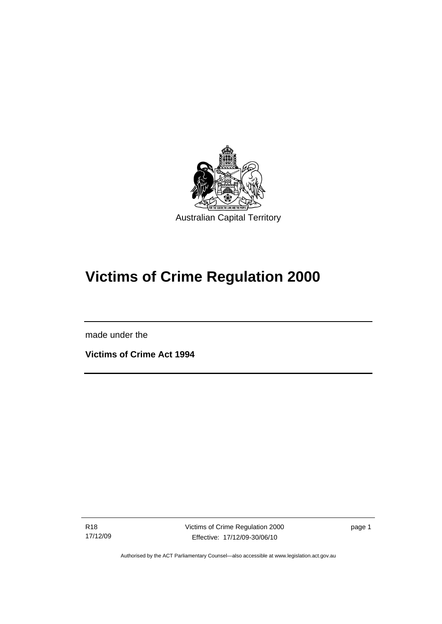<span id="page-6-0"></span>

# **Victims of Crime Regulation 2000**

made under the

I

**Victims of Crime Act 1994** 

R18 17/12/09 Victims of Crime Regulation 2000 Effective: 17/12/09-30/06/10

page 1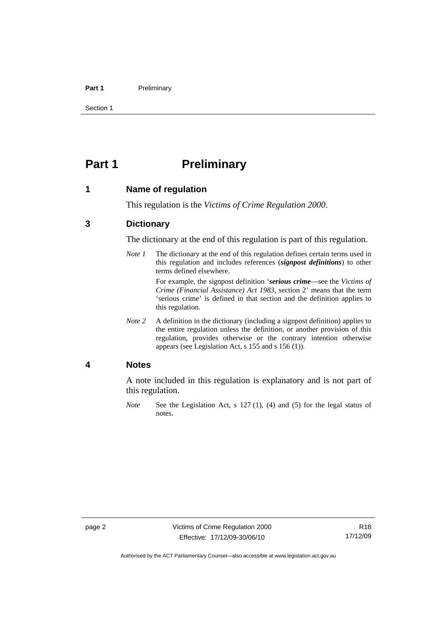### <span id="page-7-0"></span>Part 1 **Preliminary**

Section 1

## **Part 1** Preliminary

### **1 Name of regulation**

This regulation is the *Victims of Crime Regulation 2000*.

## **3 Dictionary**

The dictionary at the end of this regulation is part of this regulation.

*Note 1* The dictionary at the end of this regulation defines certain terms used in this regulation and includes references (*signpost definitions*) to other terms defined elsewhere.

> For example, the signpost definition '*serious crime*—see the *Victims of Crime (Financial Assistance) Act 1983*, section 2' means that the term 'serious crime' is defined in that section and the definition applies to this regulation.

*Note 2* A definition in the dictionary (including a signpost definition) applies to the entire regulation unless the definition, or another provision of this regulation, provides otherwise or the contrary intention otherwise appears (see Legislation Act, s 155 and s 156 (1)).

### **4 Notes**

A note included in this regulation is explanatory and is not part of this regulation.

*Note* See the Legislation Act, s 127 (1), (4) and (5) for the legal status of notes.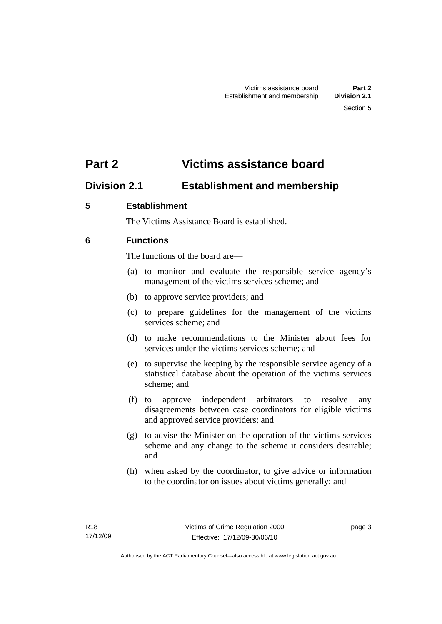## <span id="page-8-0"></span>**Part 2 Victims assistance board**

## **Division 2.1 Establishment and membership**

## **5 Establishment**

The Victims Assistance Board is established.

## **6 Functions**

The functions of the board are—

- (a) to monitor and evaluate the responsible service agency's management of the victims services scheme; and
- (b) to approve service providers; and
- (c) to prepare guidelines for the management of the victims services scheme; and
- (d) to make recommendations to the Minister about fees for services under the victims services scheme; and
- (e) to supervise the keeping by the responsible service agency of a statistical database about the operation of the victims services scheme; and
- (f) to approve independent arbitrators to resolve any disagreements between case coordinators for eligible victims and approved service providers; and
- (g) to advise the Minister on the operation of the victims services scheme and any change to the scheme it considers desirable; and
- (h) when asked by the coordinator, to give advice or information to the coordinator on issues about victims generally; and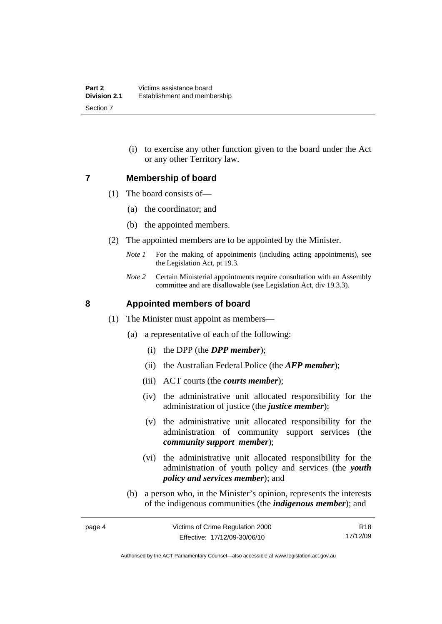(i) to exercise any other function given to the board under the Act or any other Territory law.

### <span id="page-9-0"></span>**7 Membership of board**

- (1) The board consists of—
	- (a) the coordinator; and
	- (b) the appointed members.
- (2) The appointed members are to be appointed by the Minister.
	- *Note 1* For the making of appointments (including acting appointments), see the Legislation Act, pt 19.3.
	- *Note 2* Certain Ministerial appointments require consultation with an Assembly committee and are disallowable (see Legislation Act, div 19.3.3).

## **8 Appointed members of board**

- (1) The Minister must appoint as members—
	- (a) a representative of each of the following:
		- (i) the DPP (the *DPP member*);
		- (ii) the Australian Federal Police (the *AFP member*);
		- (iii) ACT courts (the *courts member*);
		- (iv) the administrative unit allocated responsibility for the administration of justice (the *justice member*);
		- (v) the administrative unit allocated responsibility for the administration of community support services (the *community support member*);
		- (vi) the administrative unit allocated responsibility for the administration of youth policy and services (the *youth policy and services member*); and
	- (b) a person who, in the Minister's opinion, represents the interests of the indigenous communities (the *indigenous member*); and

R18 17/12/09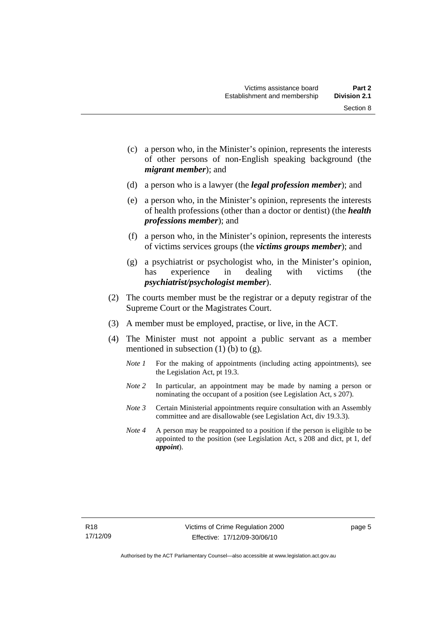Section 8

- (c) a person who, in the Minister's opinion, represents the interests of other persons of non-English speaking background (the
- (d) a person who is a lawyer (the *legal profession member*); and

*migrant member*); and

- (e) a person who, in the Minister's opinion, represents the interests of health professions (other than a doctor or dentist) (the *health professions member*); and
- (f) a person who, in the Minister's opinion, represents the interests of victims services groups (the *victims groups member*); and
- (g) a psychiatrist or psychologist who, in the Minister's opinion, has experience in dealing with victims (the *psychiatrist/psychologist member*).
- (2) The courts member must be the registrar or a deputy registrar of the Supreme Court or the Magistrates Court.
- (3) A member must be employed, practise, or live, in the ACT.
- (4) The Minister must not appoint a public servant as a member mentioned in subsection  $(1)$  (b) to  $(g)$ .
	- *Note 1* For the making of appointments (including acting appointments), see the Legislation Act, pt 19.3.
	- *Note 2* In particular, an appointment may be made by naming a person or nominating the occupant of a position (see Legislation Act, s 207).
	- *Note 3* Certain Ministerial appointments require consultation with an Assembly committee and are disallowable (see Legislation Act, div 19.3.3).
	- *Note 4* A person may be reappointed to a position if the person is eligible to be appointed to the position (see Legislation Act, s 208 and dict, pt 1, def *appoint*).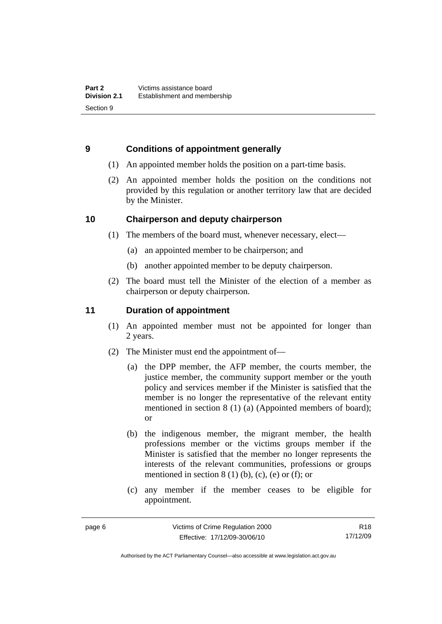## <span id="page-11-0"></span>**9 Conditions of appointment generally**

- (1) An appointed member holds the position on a part-time basis.
- (2) An appointed member holds the position on the conditions not provided by this regulation or another territory law that are decided by the Minister.

## **10 Chairperson and deputy chairperson**

- (1) The members of the board must, whenever necessary, elect—
	- (a) an appointed member to be chairperson; and
	- (b) another appointed member to be deputy chairperson.
- (2) The board must tell the Minister of the election of a member as chairperson or deputy chairperson.

## **11 Duration of appointment**

- (1) An appointed member must not be appointed for longer than 2 years.
- (2) The Minister must end the appointment of—
	- (a) the DPP member, the AFP member, the courts member, the justice member, the community support member or the youth policy and services member if the Minister is satisfied that the member is no longer the representative of the relevant entity mentioned in section 8 (1) (a) (Appointed members of board); or
	- (b) the indigenous member, the migrant member, the health professions member or the victims groups member if the Minister is satisfied that the member no longer represents the interests of the relevant communities, professions or groups mentioned in section  $8(1)$  (b), (c), (e) or (f); or
	- (c) any member if the member ceases to be eligible for appointment.

R18 17/12/09

Authorised by the ACT Parliamentary Counsel—also accessible at www.legislation.act.gov.au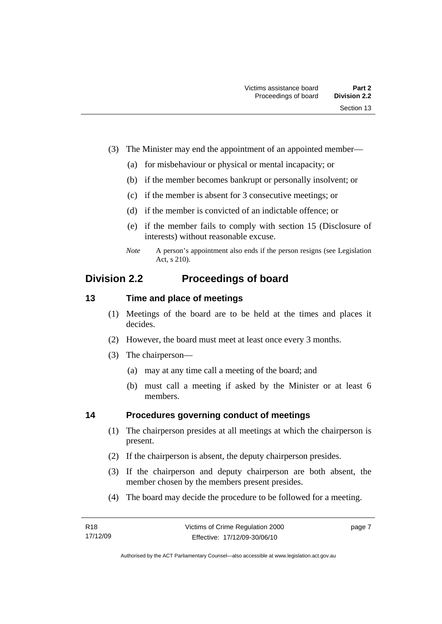- <span id="page-12-0"></span> (3) The Minister may end the appointment of an appointed member—
	- (a) for misbehaviour or physical or mental incapacity; or
	- (b) if the member becomes bankrupt or personally insolvent; or
	- (c) if the member is absent for 3 consecutive meetings; or
	- (d) if the member is convicted of an indictable offence; or
	- (e) if the member fails to comply with section 15 (Disclosure of interests) without reasonable excuse.
	- *Note* A person's appointment also ends if the person resigns (see Legislation Act, s 210).

## **Division 2.2 Proceedings of board**

## **13 Time and place of meetings**

- (1) Meetings of the board are to be held at the times and places it decides.
- (2) However, the board must meet at least once every 3 months.
- (3) The chairperson—
	- (a) may at any time call a meeting of the board; and
	- (b) must call a meeting if asked by the Minister or at least 6 members.

## **14 Procedures governing conduct of meetings**

- (1) The chairperson presides at all meetings at which the chairperson is present.
- (2) If the chairperson is absent, the deputy chairperson presides.
- (3) If the chairperson and deputy chairperson are both absent, the member chosen by the members present presides.
- (4) The board may decide the procedure to be followed for a meeting.

page 7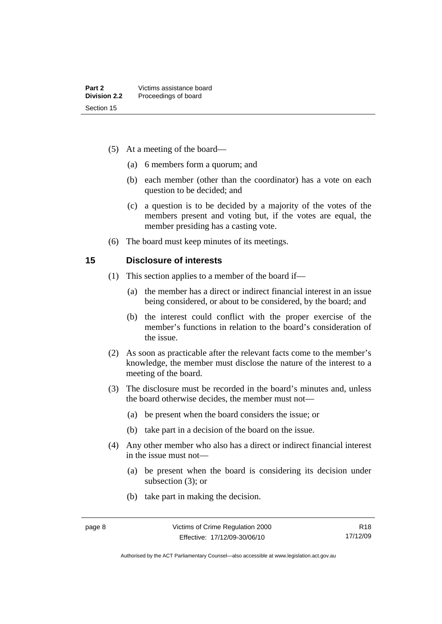- <span id="page-13-0"></span> (5) At a meeting of the board—
	- (a) 6 members form a quorum; and
	- (b) each member (other than the coordinator) has a vote on each question to be decided; and
	- (c) a question is to be decided by a majority of the votes of the members present and voting but, if the votes are equal, the member presiding has a casting vote.
- (6) The board must keep minutes of its meetings.

### **15 Disclosure of interests**

- (1) This section applies to a member of the board if—
	- (a) the member has a direct or indirect financial interest in an issue being considered, or about to be considered, by the board; and
	- (b) the interest could conflict with the proper exercise of the member's functions in relation to the board's consideration of the issue.
- (2) As soon as practicable after the relevant facts come to the member's knowledge, the member must disclose the nature of the interest to a meeting of the board.
- (3) The disclosure must be recorded in the board's minutes and, unless the board otherwise decides, the member must not—
	- (a) be present when the board considers the issue; or
	- (b) take part in a decision of the board on the issue.
- (4) Any other member who also has a direct or indirect financial interest in the issue must not—
	- (a) be present when the board is considering its decision under subsection (3); or
	- (b) take part in making the decision.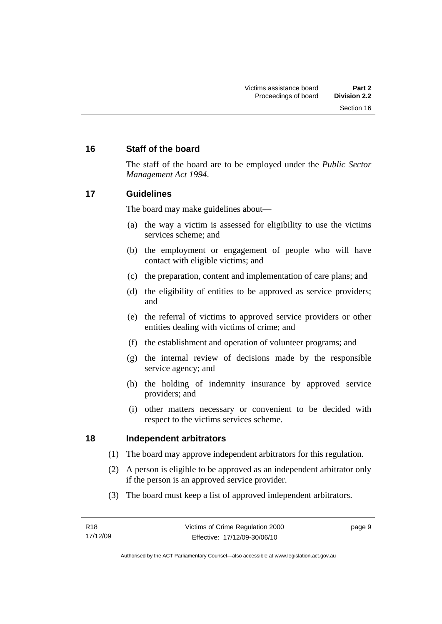## <span id="page-14-0"></span>**16 Staff of the board**

The staff of the board are to be employed under the *Public Sector Management Act 1994*.

## **17 Guidelines**

The board may make guidelines about—

- (a) the way a victim is assessed for eligibility to use the victims services scheme; and
- (b) the employment or engagement of people who will have contact with eligible victims; and
- (c) the preparation, content and implementation of care plans; and
- (d) the eligibility of entities to be approved as service providers; and
- (e) the referral of victims to approved service providers or other entities dealing with victims of crime; and
- (f) the establishment and operation of volunteer programs; and
- (g) the internal review of decisions made by the responsible service agency; and
- (h) the holding of indemnity insurance by approved service providers; and
- (i) other matters necessary or convenient to be decided with respect to the victims services scheme.

## **18 Independent arbitrators**

- (1) The board may approve independent arbitrators for this regulation.
- (2) A person is eligible to be approved as an independent arbitrator only if the person is an approved service provider.
- (3) The board must keep a list of approved independent arbitrators.

page 9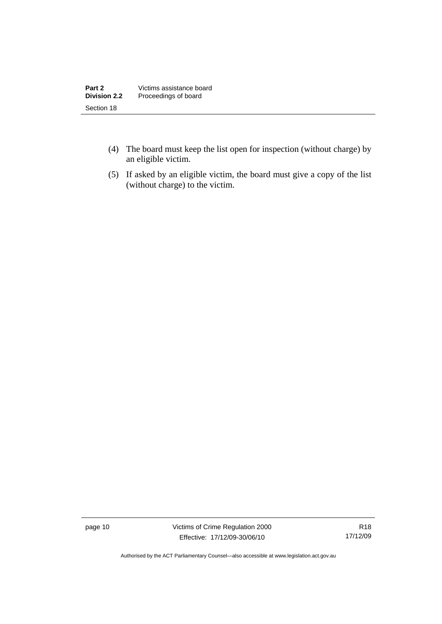| Part 2              | Victims assistance board |
|---------------------|--------------------------|
| <b>Division 2.2</b> | Proceedings of board     |
| Section 18          |                          |

- (4) The board must keep the list open for inspection (without charge) by an eligible victim.
- (5) If asked by an eligible victim, the board must give a copy of the list (without charge) to the victim.

page 10 Victims of Crime Regulation 2000 Effective: 17/12/09-30/06/10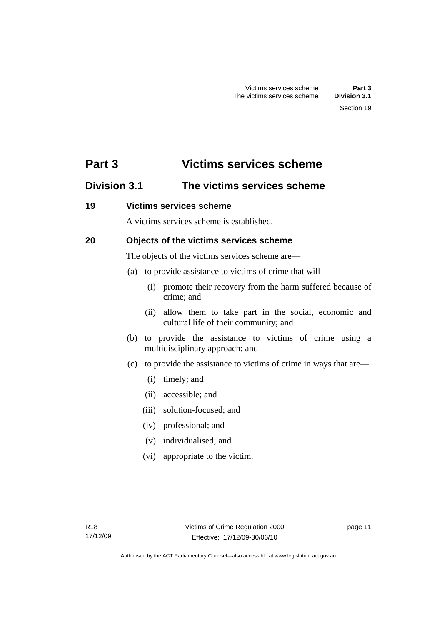## <span id="page-16-0"></span>**Part 3 Victims services scheme**

## **Division 3.1 The victims services scheme**

## **19 Victims services scheme**

A victims services scheme is established.

## **20 Objects of the victims services scheme**

The objects of the victims services scheme are—

- (a) to provide assistance to victims of crime that will—
	- (i) promote their recovery from the harm suffered because of crime; and
	- (ii) allow them to take part in the social, economic and cultural life of their community; and
- (b) to provide the assistance to victims of crime using a multidisciplinary approach; and
- (c) to provide the assistance to victims of crime in ways that are—
	- (i) timely; and
	- (ii) accessible; and
	- (iii) solution-focused; and
	- (iv) professional; and
	- (v) individualised; and
	- (vi) appropriate to the victim.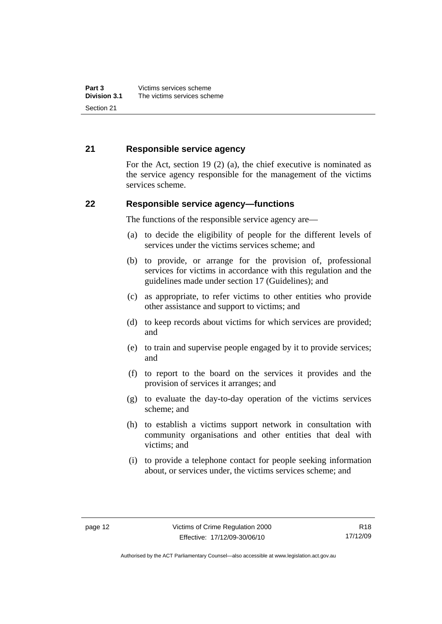## <span id="page-17-0"></span>**21 Responsible service agency**

For the Act, section 19 (2) (a), the chief executive is nominated as the service agency responsible for the management of the victims services scheme.

## **22 Responsible service agency—functions**

The functions of the responsible service agency are—

- (a) to decide the eligibility of people for the different levels of services under the victims services scheme; and
- (b) to provide, or arrange for the provision of, professional services for victims in accordance with this regulation and the guidelines made under section 17 (Guidelines); and
- (c) as appropriate, to refer victims to other entities who provide other assistance and support to victims; and
- (d) to keep records about victims for which services are provided; and
- (e) to train and supervise people engaged by it to provide services; and
- (f) to report to the board on the services it provides and the provision of services it arranges; and
- (g) to evaluate the day-to-day operation of the victims services scheme; and
- (h) to establish a victims support network in consultation with community organisations and other entities that deal with victims; and
- (i) to provide a telephone contact for people seeking information about, or services under, the victims services scheme; and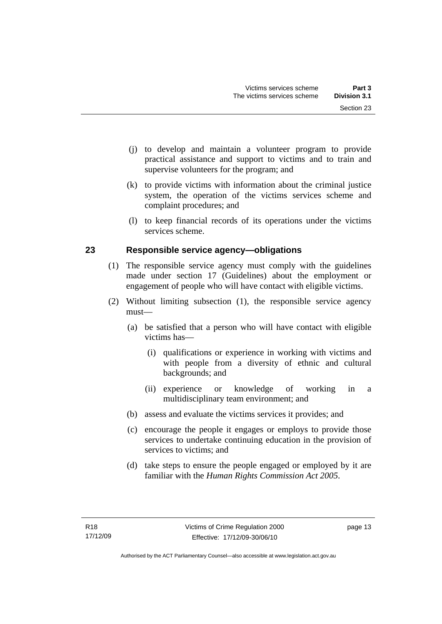- <span id="page-18-0"></span> (j) to develop and maintain a volunteer program to provide practical assistance and support to victims and to train and supervise volunteers for the program; and
- (k) to provide victims with information about the criminal justice system, the operation of the victims services scheme and complaint procedures; and
- (l) to keep financial records of its operations under the victims services scheme.

## **23 Responsible service agency—obligations**

- (1) The responsible service agency must comply with the guidelines made under section 17 (Guidelines) about the employment or engagement of people who will have contact with eligible victims.
- (2) Without limiting subsection (1), the responsible service agency must—
	- (a) be satisfied that a person who will have contact with eligible victims has—
		- (i) qualifications or experience in working with victims and with people from a diversity of ethnic and cultural backgrounds; and
		- (ii) experience or knowledge of working in a multidisciplinary team environment; and
	- (b) assess and evaluate the victims services it provides; and
	- (c) encourage the people it engages or employs to provide those services to undertake continuing education in the provision of services to victims; and
	- (d) take steps to ensure the people engaged or employed by it are familiar with the *Human Rights Commission Act 2005*.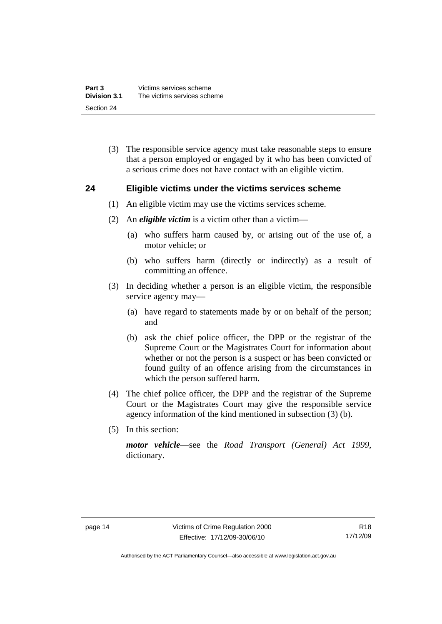<span id="page-19-0"></span> (3) The responsible service agency must take reasonable steps to ensure that a person employed or engaged by it who has been convicted of a serious crime does not have contact with an eligible victim.

## **24 Eligible victims under the victims services scheme**

- (1) An eligible victim may use the victims services scheme.
- (2) An *eligible victim* is a victim other than a victim—
	- (a) who suffers harm caused by, or arising out of the use of, a motor vehicle; or
	- (b) who suffers harm (directly or indirectly) as a result of committing an offence.
- (3) In deciding whether a person is an eligible victim, the responsible service agency may—
	- (a) have regard to statements made by or on behalf of the person; and
	- (b) ask the chief police officer, the DPP or the registrar of the Supreme Court or the Magistrates Court for information about whether or not the person is a suspect or has been convicted or found guilty of an offence arising from the circumstances in which the person suffered harm.
- (4) The chief police officer, the DPP and the registrar of the Supreme Court or the Magistrates Court may give the responsible service agency information of the kind mentioned in subsection (3) (b).
- (5) In this section:

*motor vehicle*—see the *Road Transport (General) Act 1999*, dictionary.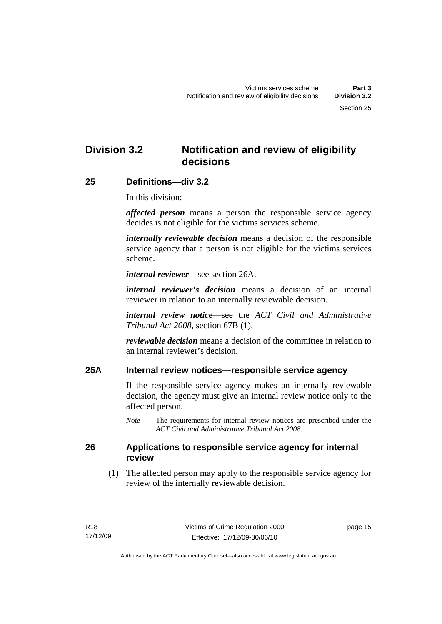## <span id="page-20-0"></span>**Division 3.2 Notification and review of eligibility decisions**

## **25 Definitions—div 3.2**

In this division:

*affected person* means a person the responsible service agency decides is not eligible for the victims services scheme.

*internally reviewable decision* means a decision of the responsible service agency that a person is not eligible for the victims services scheme.

*internal reviewer—*see section 26A.

*internal reviewer's decision* means a decision of an internal reviewer in relation to an internally reviewable decision.

*internal review notice*—see the *ACT Civil and Administrative Tribunal Act 2008*, section 67B (1).

*reviewable decision* means a decision of the committee in relation to an internal reviewer's decision.

## **25A Internal review notices—responsible service agency**

If the responsible service agency makes an internally reviewable decision, the agency must give an internal review notice only to the affected person.

*Note* The requirements for internal review notices are prescribed under the *ACT Civil and Administrative Tribunal Act 2008*.

## **26 Applications to responsible service agency for internal review**

 (1) The affected person may apply to the responsible service agency for review of the internally reviewable decision.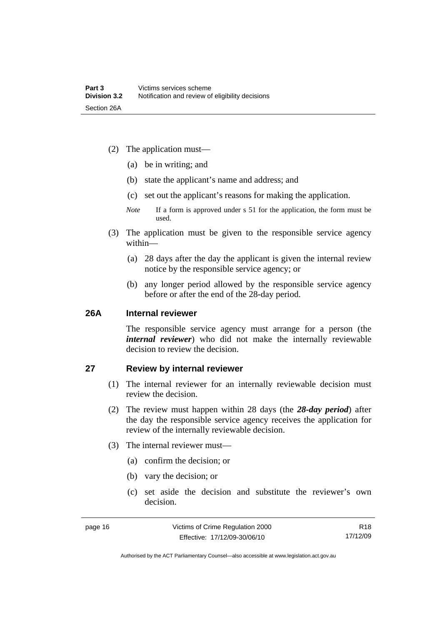- <span id="page-21-0"></span> (2) The application must—
	- (a) be in writing; and
	- (b) state the applicant's name and address; and
	- (c) set out the applicant's reasons for making the application.
	- *Note* If a form is approved under s 51 for the application, the form must be used.
- (3) The application must be given to the responsible service agency within—
	- (a) 28 days after the day the applicant is given the internal review notice by the responsible service agency; or
	- (b) any longer period allowed by the responsible service agency before or after the end of the 28-day period.

## **26A Internal reviewer**

The responsible service agency must arrange for a person (the *internal reviewer*) who did not make the internally reviewable decision to review the decision.

## **27 Review by internal reviewer**

- (1) The internal reviewer for an internally reviewable decision must review the decision.
- (2) The review must happen within 28 days (the *28-day period*) after the day the responsible service agency receives the application for review of the internally reviewable decision.
- (3) The internal reviewer must—
	- (a) confirm the decision; or
	- (b) vary the decision; or
	- (c) set aside the decision and substitute the reviewer's own decision.

R18 17/12/09

Authorised by the ACT Parliamentary Counsel—also accessible at www.legislation.act.gov.au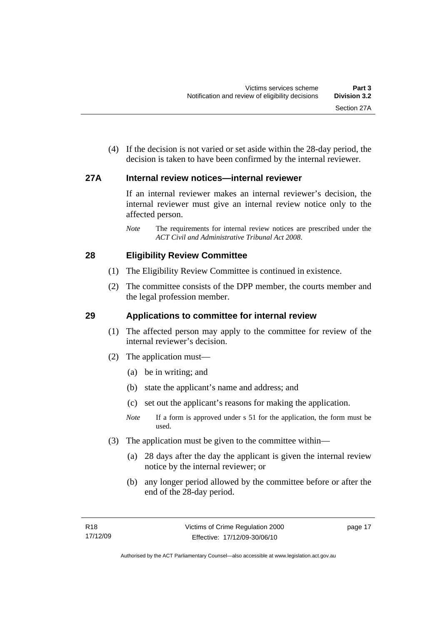<span id="page-22-0"></span> (4) If the decision is not varied or set aside within the 28-day period, the decision is taken to have been confirmed by the internal reviewer.

## **27A Internal review notices—internal reviewer**

If an internal reviewer makes an internal reviewer's decision, the internal reviewer must give an internal review notice only to the affected person.

*Note* The requirements for internal review notices are prescribed under the *ACT Civil and Administrative Tribunal Act 2008*.

## **28 Eligibility Review Committee**

- (1) The Eligibility Review Committee is continued in existence.
- (2) The committee consists of the DPP member, the courts member and the legal profession member.

## **29 Applications to committee for internal review**

- (1) The affected person may apply to the committee for review of the internal reviewer's decision.
- (2) The application must—
	- (a) be in writing; and
	- (b) state the applicant's name and address; and
	- (c) set out the applicant's reasons for making the application.
	- *Note* If a form is approved under s 51 for the application, the form must be used.
- (3) The application must be given to the committee within—
	- (a) 28 days after the day the applicant is given the internal review notice by the internal reviewer; or
	- (b) any longer period allowed by the committee before or after the end of the 28-day period.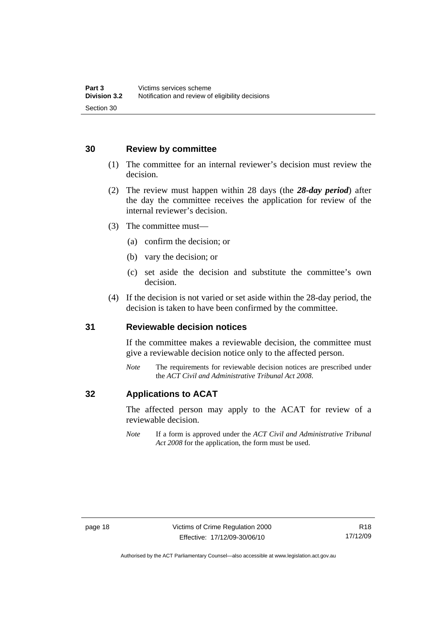## <span id="page-23-0"></span>**30 Review by committee**

- (1) The committee for an internal reviewer's decision must review the decision.
- (2) The review must happen within 28 days (the *28-day period*) after the day the committee receives the application for review of the internal reviewer's decision.
- (3) The committee must—
	- (a) confirm the decision; or
	- (b) vary the decision; or
	- (c) set aside the decision and substitute the committee's own decision.
- (4) If the decision is not varied or set aside within the 28-day period, the decision is taken to have been confirmed by the committee.

### **31 Reviewable decision notices**

If the committee makes a reviewable decision, the committee must give a reviewable decision notice only to the affected person.

*Note* The requirements for reviewable decision notices are prescribed under the *ACT Civil and Administrative Tribunal Act 2008*.

## **32 Applications to ACAT**

The affected person may apply to the ACAT for review of a reviewable decision.

*Note* If a form is approved under the *ACT Civil and Administrative Tribunal Act 2008* for the application, the form must be used.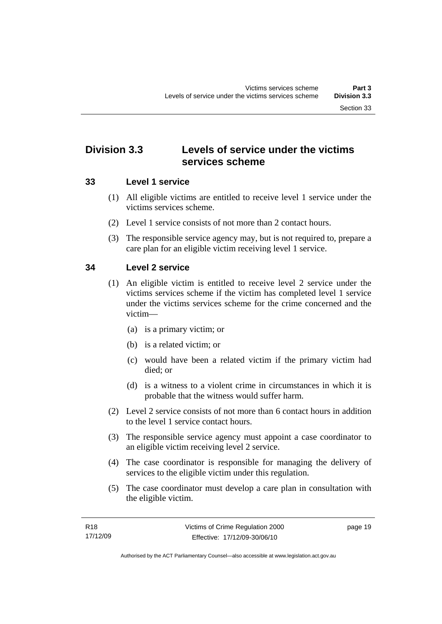## <span id="page-24-0"></span>**Division 3.3 Levels of service under the victims services scheme**

## **33 Level 1 service**

- (1) All eligible victims are entitled to receive level 1 service under the victims services scheme.
- (2) Level 1 service consists of not more than 2 contact hours.
- (3) The responsible service agency may, but is not required to, prepare a care plan for an eligible victim receiving level 1 service.

## **34 Level 2 service**

- (1) An eligible victim is entitled to receive level 2 service under the victims services scheme if the victim has completed level 1 service under the victims services scheme for the crime concerned and the victim—
	- (a) is a primary victim; or
	- (b) is a related victim; or
	- (c) would have been a related victim if the primary victim had died; or
	- (d) is a witness to a violent crime in circumstances in which it is probable that the witness would suffer harm.
- (2) Level 2 service consists of not more than 6 contact hours in addition to the level 1 service contact hours.
- (3) The responsible service agency must appoint a case coordinator to an eligible victim receiving level 2 service.
- (4) The case coordinator is responsible for managing the delivery of services to the eligible victim under this regulation.
- (5) The case coordinator must develop a care plan in consultation with the eligible victim.

page 19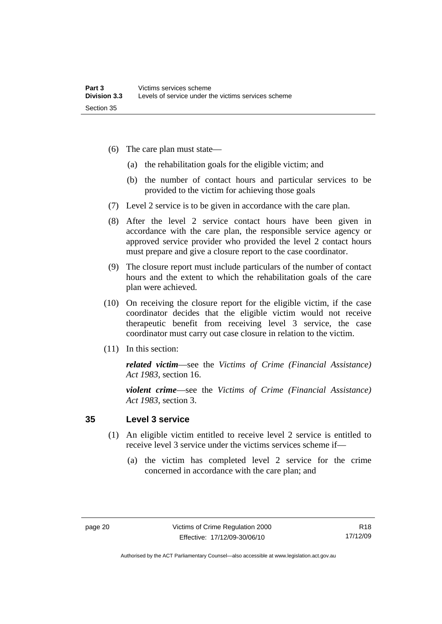- <span id="page-25-0"></span> (6) The care plan must state—
	- (a) the rehabilitation goals for the eligible victim; and
	- (b) the number of contact hours and particular services to be provided to the victim for achieving those goals
- (7) Level 2 service is to be given in accordance with the care plan.
- (8) After the level 2 service contact hours have been given in accordance with the care plan, the responsible service agency or approved service provider who provided the level 2 contact hours must prepare and give a closure report to the case coordinator.
- (9) The closure report must include particulars of the number of contact hours and the extent to which the rehabilitation goals of the care plan were achieved.
- (10) On receiving the closure report for the eligible victim, if the case coordinator decides that the eligible victim would not receive therapeutic benefit from receiving level 3 service, the case coordinator must carry out case closure in relation to the victim.
- (11) In this section:

*related victim*—see the *Victims of Crime (Financial Assistance) Act 1983*, section 16.

*violent crime*—see the *Victims of Crime (Financial Assistance) Act 1983*, section 3.

## **35 Level 3 service**

- (1) An eligible victim entitled to receive level 2 service is entitled to receive level 3 service under the victims services scheme if—
	- (a) the victim has completed level 2 service for the crime concerned in accordance with the care plan; and

Authorised by the ACT Parliamentary Counsel—also accessible at www.legislation.act.gov.au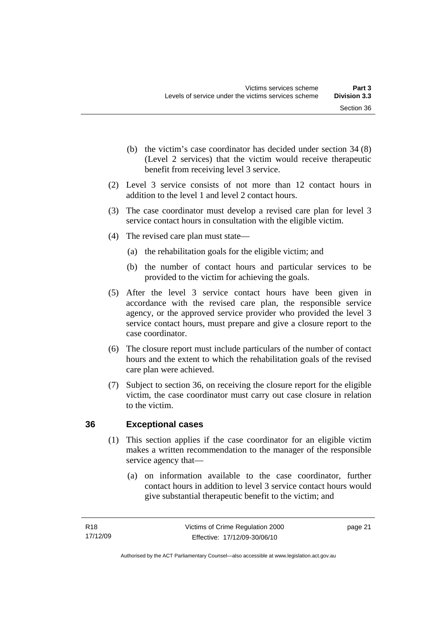- <span id="page-26-0"></span> (b) the victim's case coordinator has decided under section 34 (8) (Level 2 services) that the victim would receive therapeutic benefit from receiving level 3 service.
- (2) Level 3 service consists of not more than 12 contact hours in addition to the level 1 and level 2 contact hours.
- (3) The case coordinator must develop a revised care plan for level 3 service contact hours in consultation with the eligible victim.
- (4) The revised care plan must state—
	- (a) the rehabilitation goals for the eligible victim; and
	- (b) the number of contact hours and particular services to be provided to the victim for achieving the goals.
- (5) After the level 3 service contact hours have been given in accordance with the revised care plan, the responsible service agency, or the approved service provider who provided the level 3 service contact hours, must prepare and give a closure report to the case coordinator.
- (6) The closure report must include particulars of the number of contact hours and the extent to which the rehabilitation goals of the revised care plan were achieved.
- (7) Subject to section 36, on receiving the closure report for the eligible victim, the case coordinator must carry out case closure in relation to the victim.

## **36 Exceptional cases**

- (1) This section applies if the case coordinator for an eligible victim makes a written recommendation to the manager of the responsible service agency that—
	- (a) on information available to the case coordinator, further contact hours in addition to level 3 service contact hours would give substantial therapeutic benefit to the victim; and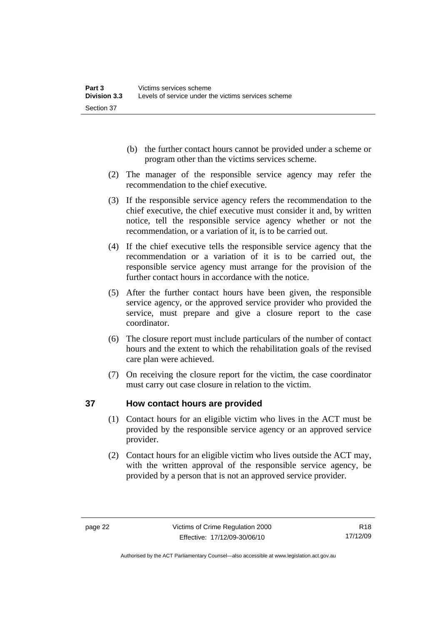- <span id="page-27-0"></span> (b) the further contact hours cannot be provided under a scheme or program other than the victims services scheme.
- (2) The manager of the responsible service agency may refer the recommendation to the chief executive.
- (3) If the responsible service agency refers the recommendation to the chief executive, the chief executive must consider it and, by written notice, tell the responsible service agency whether or not the recommendation, or a variation of it, is to be carried out.
- (4) If the chief executive tells the responsible service agency that the recommendation or a variation of it is to be carried out, the responsible service agency must arrange for the provision of the further contact hours in accordance with the notice.
- (5) After the further contact hours have been given, the responsible service agency, or the approved service provider who provided the service, must prepare and give a closure report to the case coordinator.
- (6) The closure report must include particulars of the number of contact hours and the extent to which the rehabilitation goals of the revised care plan were achieved.
- (7) On receiving the closure report for the victim, the case coordinator must carry out case closure in relation to the victim.

## **37 How contact hours are provided**

- (1) Contact hours for an eligible victim who lives in the ACT must be provided by the responsible service agency or an approved service provider.
- (2) Contact hours for an eligible victim who lives outside the ACT may, with the written approval of the responsible service agency, be provided by a person that is not an approved service provider.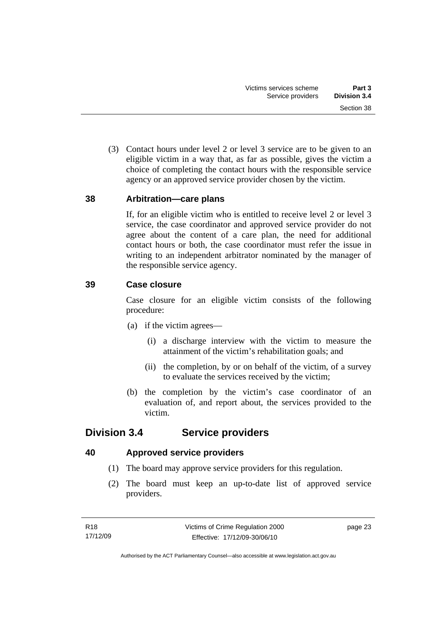<span id="page-28-0"></span> (3) Contact hours under level 2 or level 3 service are to be given to an eligible victim in a way that, as far as possible, gives the victim a choice of completing the contact hours with the responsible service agency or an approved service provider chosen by the victim.

## **38 Arbitration—care plans**

If, for an eligible victim who is entitled to receive level 2 or level 3 service, the case coordinator and approved service provider do not agree about the content of a care plan, the need for additional contact hours or both, the case coordinator must refer the issue in writing to an independent arbitrator nominated by the manager of the responsible service agency.

## **39 Case closure**

Case closure for an eligible victim consists of the following procedure:

- (a) if the victim agrees—
	- (i) a discharge interview with the victim to measure the attainment of the victim's rehabilitation goals; and
	- (ii) the completion, by or on behalf of the victim, of a survey to evaluate the services received by the victim;
- (b) the completion by the victim's case coordinator of an evaluation of, and report about, the services provided to the victim.

## **Division 3.4 Service providers**

## **40 Approved service providers**

- (1) The board may approve service providers for this regulation.
- (2) The board must keep an up-to-date list of approved service providers.

page 23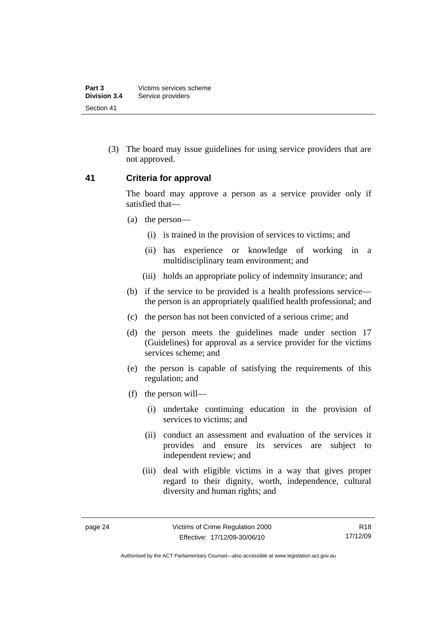<span id="page-29-0"></span> (3) The board may issue guidelines for using service providers that are not approved.

### **41 Criteria for approval**

The board may approve a person as a service provider only if satisfied that—

- (a) the person—
	- (i) is trained in the provision of services to victims; and
	- (ii) has experience or knowledge of working in a multidisciplinary team environment; and
	- (iii) holds an appropriate policy of indemnity insurance; and
- (b) if the service to be provided is a health professions service the person is an appropriately qualified health professional; and
- (c) the person has not been convicted of a serious crime; and
- (d) the person meets the guidelines made under section 17 (Guidelines) for approval as a service provider for the victims services scheme; and
- (e) the person is capable of satisfying the requirements of this regulation; and
- (f) the person will—
	- (i) undertake continuing education in the provision of services to victims; and
	- (ii) conduct an assessment and evaluation of the services it provides and ensure its services are subject to independent review; and
	- (iii) deal with eligible victims in a way that gives proper regard to their dignity, worth, independence, cultural diversity and human rights; and

R18 17/12/09

Authorised by the ACT Parliamentary Counsel—also accessible at www.legislation.act.gov.au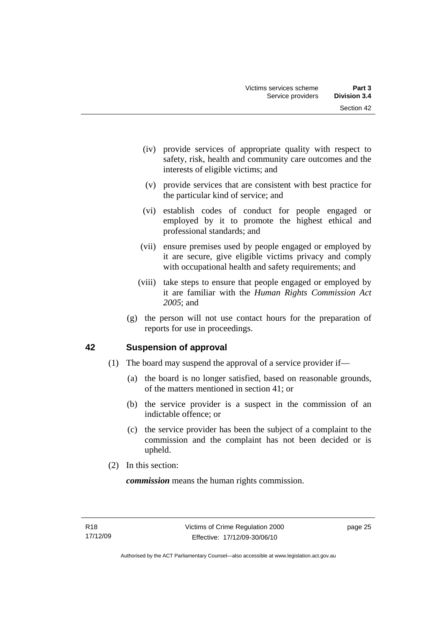- <span id="page-30-0"></span> (iv) provide services of appropriate quality with respect to safety, risk, health and community care outcomes and the interests of eligible victims; and
- (v) provide services that are consistent with best practice for the particular kind of service; and
- (vi) establish codes of conduct for people engaged or employed by it to promote the highest ethical and professional standards; and
- (vii) ensure premises used by people engaged or employed by it are secure, give eligible victims privacy and comply with occupational health and safety requirements; and
- (viii) take steps to ensure that people engaged or employed by it are familiar with the *Human Rights Commission Act 2005*; and
- (g) the person will not use contact hours for the preparation of reports for use in proceedings.

## **42 Suspension of approval**

- (1) The board may suspend the approval of a service provider if—
	- (a) the board is no longer satisfied, based on reasonable grounds, of the matters mentioned in section 41; or
	- (b) the service provider is a suspect in the commission of an indictable offence; or
	- (c) the service provider has been the subject of a complaint to the commission and the complaint has not been decided or is upheld.
- (2) In this section:

*commission* means the human rights commission.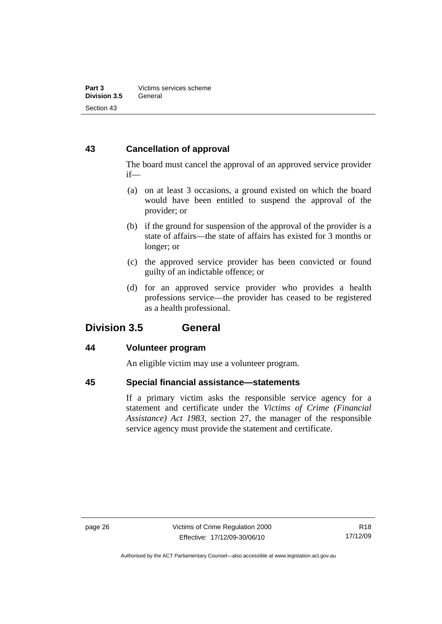## <span id="page-31-0"></span>**43 Cancellation of approval**

The board must cancel the approval of an approved service provider if—

- (a) on at least 3 occasions, a ground existed on which the board would have been entitled to suspend the approval of the provider; or
- (b) if the ground for suspension of the approval of the provider is a state of affairs—the state of affairs has existed for 3 months or longer; or
- (c) the approved service provider has been convicted or found guilty of an indictable offence; or
- (d) for an approved service provider who provides a health professions service—the provider has ceased to be registered as a health professional.

## **Division 3.5 General**

## **44 Volunteer program**

An eligible victim may use a volunteer program.

## **45 Special financial assistance—statements**

If a primary victim asks the responsible service agency for a statement and certificate under the *Victims of Crime (Financial Assistance) Act 1983*, section 27, the manager of the responsible service agency must provide the statement and certificate.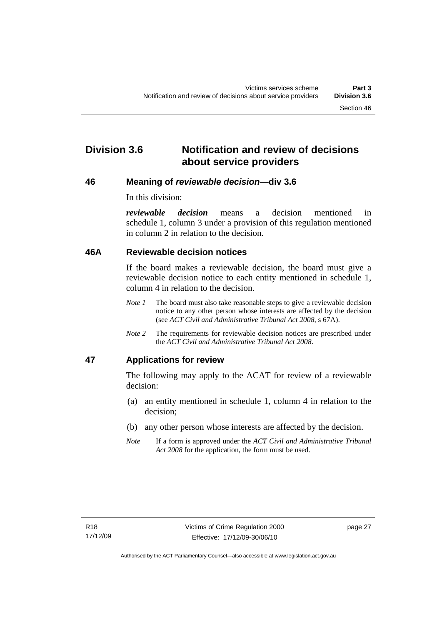## <span id="page-32-0"></span>**Division 3.6 Notification and review of decisions about service providers**

## **46 Meaning of** *reviewable decision—***div 3.6**

In this division:

*reviewable decision* means a decision mentioned in schedule 1, column 3 under a provision of this regulation mentioned in column 2 in relation to the decision.

## **46A Reviewable decision notices**

If the board makes a reviewable decision, the board must give a reviewable decision notice to each entity mentioned in schedule 1, column 4 in relation to the decision.

- *Note 1* The board must also take reasonable steps to give a reviewable decision notice to any other person whose interests are affected by the decision (see *ACT Civil and Administrative Tribunal Act 2008*, s 67A).
- *Note 2* The requirements for reviewable decision notices are prescribed under the *ACT Civil and Administrative Tribunal Act 2008*.

## **47 Applications for review**

The following may apply to the ACAT for review of a reviewable decision:

- (a) an entity mentioned in schedule 1, column 4 in relation to the decision;
- (b) any other person whose interests are affected by the decision.
- *Note* If a form is approved under the *ACT Civil and Administrative Tribunal Act 2008* for the application, the form must be used.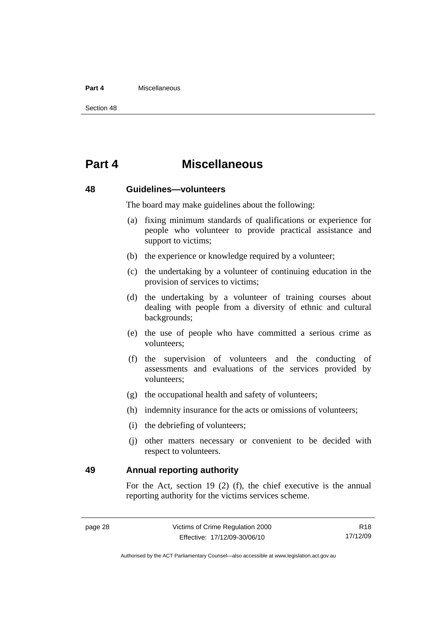### <span id="page-33-0"></span>**Part 4** Miscellaneous

Section 48

## **Part 4 Miscellaneous**

### **48 Guidelines—volunteers**

The board may make guidelines about the following:

- (a) fixing minimum standards of qualifications or experience for people who volunteer to provide practical assistance and support to victims:
- (b) the experience or knowledge required by a volunteer;
- (c) the undertaking by a volunteer of continuing education in the provision of services to victims;
- (d) the undertaking by a volunteer of training courses about dealing with people from a diversity of ethnic and cultural backgrounds;
- (e) the use of people who have committed a serious crime as volunteers;
- (f) the supervision of volunteers and the conducting of assessments and evaluations of the services provided by volunteers;
- (g) the occupational health and safety of volunteers;
- (h) indemnity insurance for the acts or omissions of volunteers;
- (i) the debriefing of volunteers;
- (j) other matters necessary or convenient to be decided with respect to volunteers.

**49 Annual reporting authority** 

For the Act, section 19 (2) (f), the chief executive is the annual reporting authority for the victims services scheme.

R18 17/12/09

Authorised by the ACT Parliamentary Counsel—also accessible at www.legislation.act.gov.au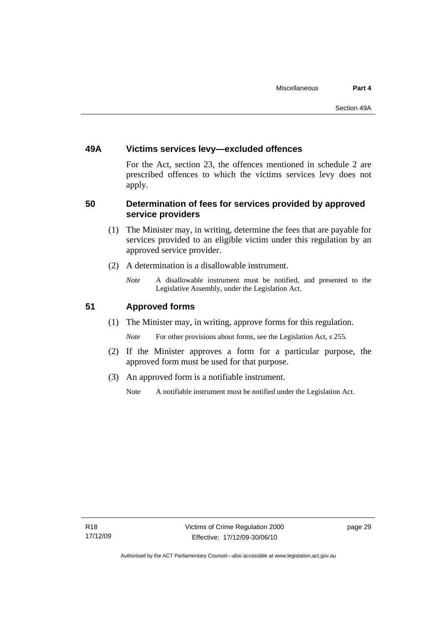## <span id="page-34-0"></span>**49A Victims services levy—excluded offences**

For the Act, section 23, the offences mentioned in schedule 2 are prescribed offences to which the victims services levy does not apply.

## **50 Determination of fees for services provided by approved service providers**

- (1) The Minister may, in writing, determine the fees that are payable for services provided to an eligible victim under this regulation by an approved service provider.
- (2) A determination is a disallowable instrument.
	- *Note* A disallowable instrument must be notified, and presented to the Legislative Assembly, under the Legislation Act.

## **51 Approved forms**

(1) The Minister may, in writing, approve forms for this regulation.

*Note* For other provisions about forms, see the Legislation Act, s 255.

- (2) If the Minister approves a form for a particular purpose, the approved form must be used for that purpose.
- (3) An approved form is a notifiable instrument.
	- Note A notifiable instrument must be notified under the Legislation Act.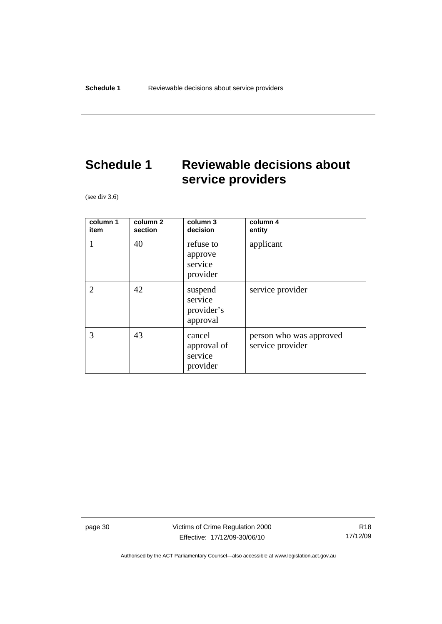# <span id="page-35-0"></span>**Schedule 1 Reviewable decisions about service providers**

(see div 3.6)

| column 1<br>item | column 2<br>section | column 3<br>decision                         | column 4<br>entity                          |
|------------------|---------------------|----------------------------------------------|---------------------------------------------|
|                  | 40                  | refuse to<br>approve<br>service<br>provider  | applicant                                   |
| 2                | 42                  | suspend<br>service<br>provider's<br>approval | service provider                            |
| 3                | 43                  | cancel<br>approval of<br>service<br>provider | person who was approved<br>service provider |

page 30 Victims of Crime Regulation 2000 Effective: 17/12/09-30/06/10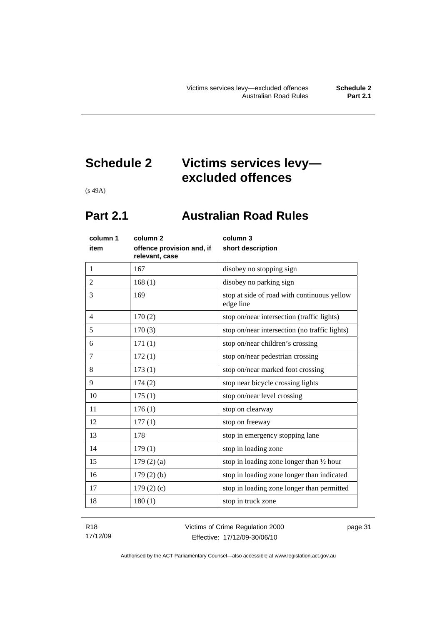# <span id="page-36-0"></span>**Schedule 2 Victims services levy excluded offences**

(s 49A)

## **Part 2.1 Australian Road Rules**

| column 1<br>item | column <sub>2</sub><br>offence provision and, if<br>relevant, case | column 3<br>short description                            |
|------------------|--------------------------------------------------------------------|----------------------------------------------------------|
| $\mathbf{1}$     | 167                                                                | disobey no stopping sign                                 |
| $\overline{2}$   | 168(1)                                                             | disobey no parking sign                                  |
| 3                | 169                                                                | stop at side of road with continuous yellow<br>edge line |
| $\overline{4}$   | 170(2)                                                             | stop on/near intersection (traffic lights)               |
| 5                | 170(3)                                                             | stop on/near intersection (no traffic lights)            |
| 6                | 171(1)                                                             | stop on/near children's crossing                         |
| $\tau$           | 172(1)                                                             | stop on/near pedestrian crossing                         |
| 8                | 173(1)                                                             | stop on/near marked foot crossing                        |
| 9                | 174(2)                                                             | stop near bicycle crossing lights                        |
| 10               | 175(1)                                                             | stop on/near level crossing                              |
| 11               | 176(1)                                                             | stop on clearway                                         |
| 12               | 177(1)                                                             | stop on freeway                                          |
| 13               | 178                                                                | stop in emergency stopping lane                          |
| 14               | 179(1)                                                             | stop in loading zone                                     |
| 15               | $179(2)$ (a)                                                       | stop in loading zone longer than $\frac{1}{2}$ hour      |
| 16               | 179(2)(b)                                                          | stop in loading zone longer than indicated               |
| 17               | 179 $(2)(c)$                                                       | stop in loading zone longer than permitted               |
| 18               | 180(1)                                                             | stop in truck zone                                       |

R18 17/12/09 Victims of Crime Regulation 2000 Effective: 17/12/09-30/06/10

page 31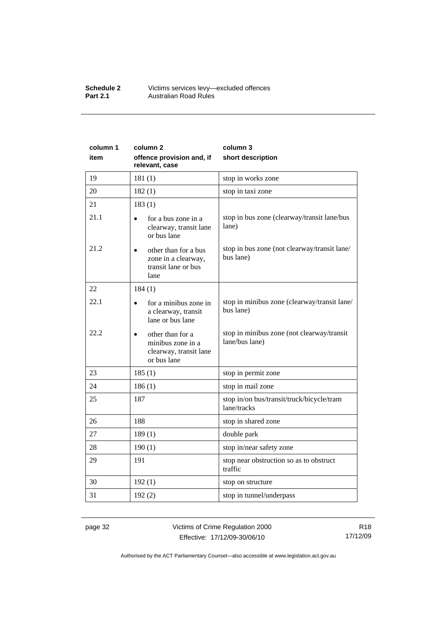#### **Schedule 2** Victims services levy—excluded offences **Part 2.1 Australian Road Rules**

| column 1<br>item | column <sub>2</sub><br>offence provision and, if<br>relevant, case             | column 3<br>short description                                |  |
|------------------|--------------------------------------------------------------------------------|--------------------------------------------------------------|--|
| 19               | 181(1)                                                                         | stop in works zone                                           |  |
| 20               | 182(1)                                                                         | stop in taxi zone                                            |  |
| 21               | 183(1)                                                                         |                                                              |  |
| 21.1             | for a bus zone in a<br>clearway, transit lane<br>or bus lane                   | stop in bus zone (clearway/transit lane/bus<br>lane)         |  |
| 21.2             | other than for a bus<br>zone in a clearway,<br>transit lane or bus<br>lane     | stop in bus zone (not clearway/transit lane/<br>bus lane)    |  |
| 22               | 184(1)                                                                         |                                                              |  |
| 22.1             | for a minibus zone in<br>a clearway, transit<br>lane or bus lane               | stop in minibus zone (clearway/transit lane/<br>bus lane)    |  |
| 22.2             | other than for a<br>minibus zone in a<br>clearway, transit lane<br>or bus lane | stop in minibus zone (not clearway/transit<br>lane/bus lane) |  |
| 23               | 185(1)                                                                         | stop in permit zone                                          |  |
| 24               | 186(1)                                                                         | stop in mail zone                                            |  |
| 25               | 187                                                                            | stop in/on bus/transit/truck/bicycle/tram<br>lane/tracks     |  |
| 26               | 188                                                                            | stop in shared zone                                          |  |
| 27               | 189(1)                                                                         | double park                                                  |  |
| 28               | 190(1)<br>stop in/near safety zone                                             |                                                              |  |
| 29               | 191<br>stop near obstruction so as to obstruct<br>traffic                      |                                                              |  |
| 30               | 192(1)                                                                         | stop on structure                                            |  |
| 31               | 192(2)                                                                         | stop in tunnel/underpass                                     |  |

page 32 Victims of Crime Regulation 2000 Effective: 17/12/09-30/06/10

R18 17/12/09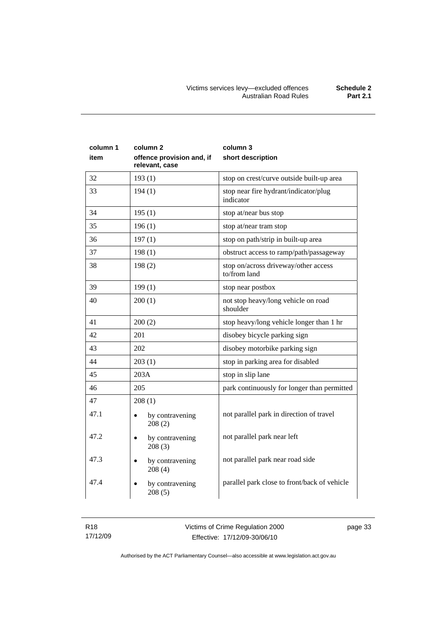| column 1<br>item | column <sub>2</sub><br>offence provision and, if<br>relevant, case | column 3<br>short description                        |  |
|------------------|--------------------------------------------------------------------|------------------------------------------------------|--|
| 32               | 193(1)                                                             | stop on crest/curve outside built-up area            |  |
| 33               | 194(1)                                                             | stop near fire hydrant/indicator/plug<br>indicator   |  |
| 34               | 195(1)                                                             | stop at/near bus stop                                |  |
| 35               | 196(1)                                                             | stop at/near tram stop                               |  |
| 36               | 197(1)                                                             | stop on path/strip in built-up area                  |  |
| 37               | 198(1)                                                             | obstruct access to ramp/path/passageway              |  |
| 38               | 198(2)                                                             | stop on/across driveway/other access<br>to/from land |  |
| 39               | 199(1)                                                             | stop near postbox                                    |  |
| 40               | 200(1)                                                             | not stop heavy/long vehicle on road<br>shoulder      |  |
| 41               | 200(2)                                                             | stop heavy/long vehicle longer than 1 hr             |  |
| 42               | 201                                                                | disobey bicycle parking sign                         |  |
| 43               | 202                                                                | disobey motorbike parking sign                       |  |
| 44               | 203(1)                                                             | stop in parking area for disabled                    |  |
| 45               | 203A                                                               | stop in slip lane                                    |  |
| 46               | 205                                                                | park continuously for longer than permitted          |  |
| 47               | 208(1)                                                             |                                                      |  |
| 47.1             | by contravening<br>$\bullet$<br>208(2)                             | not parallel park in direction of travel             |  |
| 47.2             | by contravening<br>$\bullet$<br>208(3)                             | not parallel park near left                          |  |
| 47.3             | by contravening<br>208(4)                                          | not parallel park near road side                     |  |
| 47.4             | by contravening<br>208(5)                                          | parallel park close to front/back of vehicle         |  |

page 33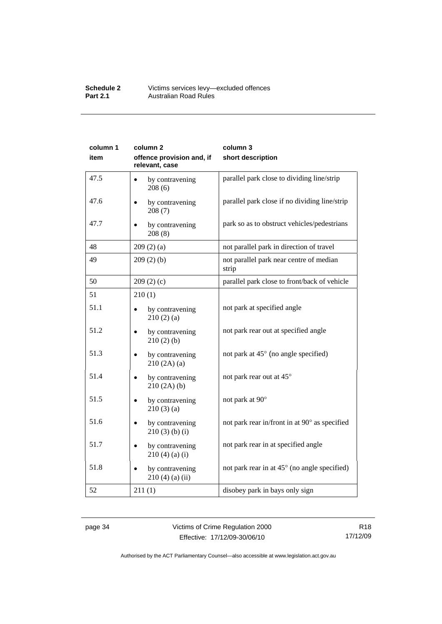#### **Schedule 2** Victims services levy—excluded offences **Part 2.1 Australian Road Rules**

| column 1 | column <sub>2</sub>                         | column 3                                         |
|----------|---------------------------------------------|--------------------------------------------------|
| item     | offence provision and, if<br>relevant, case | short description                                |
| 47.5     | by contravening<br>208(6)                   | parallel park close to dividing line/strip       |
| 47.6     | by contravening<br>208(7)                   | parallel park close if no dividing line/strip    |
| 47.7     | by contravening<br>208(8)                   | park so as to obstruct vehicles/pedestrians      |
| 48       | 209(2)(a)                                   | not parallel park in direction of travel         |
| 49       | 209(2)(b)                                   | not parallel park near centre of median<br>strip |
| 50       | 209(2)(c)                                   | parallel park close to front/back of vehicle     |
| 51       | 210(1)                                      |                                                  |
| 51.1     | by contravening<br>210(2)(a)                | not park at specified angle                      |
| 51.2     | by contravening<br>210(2)(b)                | not park rear out at specified angle             |
| 51.3     | by contravening<br>210(2A)(a)               | not park at 45° (no angle specified)             |
| 51.4     | by contravening<br>210(2A)(b)               | not park rear out at 45°                         |
| 51.5     | by contravening<br>210(3)(a)                | not park at 90°                                  |
| 51.6     | by contravening<br>$210(3)$ (b) (i)         | not park rear in/front in at 90° as specified    |
| 51.7     | by contravening<br>$210(4)$ (a) (i)         | not park rear in at specified angle              |
| 51.8     | by contravening<br>$210(4)$ (a) (ii)        | not park rear in at 45° (no angle specified)     |
| 52       | 211(1)                                      | disobey park in bays only sign                   |

page 34 Victims of Crime Regulation 2000 Effective: 17/12/09-30/06/10

R18 17/12/09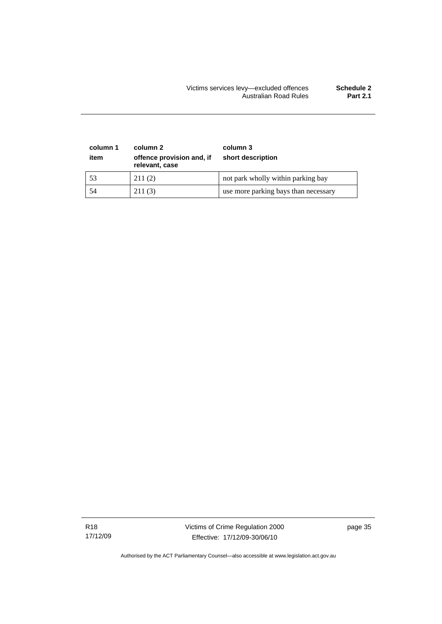### Victims services levy—excluded offences **Schedule 2**  Australian Road Rules **Part 2.1**

| column 1<br>item | column 2<br>offence provision and, if<br>relevant, case | column 3<br>short description        |
|------------------|---------------------------------------------------------|--------------------------------------|
| 53               | 211(2)                                                  | not park wholly within parking bay   |
| 54               | 211(3)                                                  | use more parking bays than necessary |

R18 17/12/09 Victims of Crime Regulation 2000 Effective: 17/12/09-30/06/10

page 35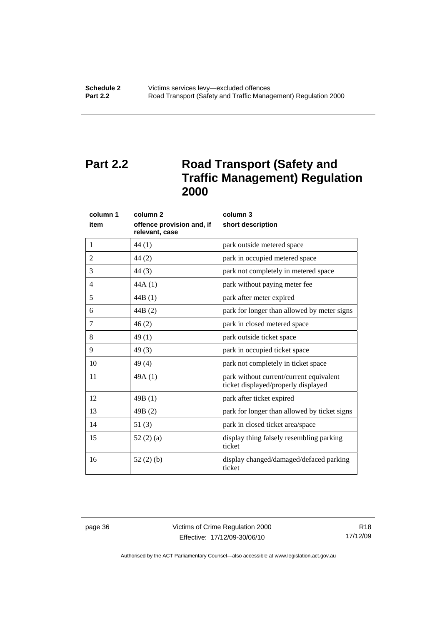# <span id="page-41-0"></span>**Part 2.2** Road Transport (Safety and **Traffic Management) Regulation 2000**

| column 1 | column <sub>2</sub>                         | column 3                                                                       |  |
|----------|---------------------------------------------|--------------------------------------------------------------------------------|--|
| item     | offence provision and, if<br>relevant, case | short description                                                              |  |
| 1        | 44 (1)                                      | park outside metered space                                                     |  |
| 2        | 44(2)                                       | park in occupied metered space                                                 |  |
| 3        | 44(3)                                       | park not completely in metered space                                           |  |
| 4        | 44A(1)                                      | park without paying meter fee                                                  |  |
| 5        | 44B(1)                                      | park after meter expired                                                       |  |
| 6        | 44B(2)                                      | park for longer than allowed by meter signs                                    |  |
| 7        | 46(2)                                       | park in closed metered space                                                   |  |
| 8        | 49(1)                                       | park outside ticket space                                                      |  |
| 9        | 49(3)                                       | park in occupied ticket space                                                  |  |
| 10       | 49(4)                                       | park not completely in ticket space                                            |  |
| 11       | 49A(1)                                      | park without current/current equivalent<br>ticket displayed/properly displayed |  |
| 12       | 49B(1)                                      | park after ticket expired                                                      |  |
| 13       | 49B(2)                                      | park for longer than allowed by ticket signs                                   |  |
| 14       | 51(3)                                       | park in closed ticket area/space                                               |  |
| 15       | 52 $(2)$ $(a)$                              | display thing falsely resembling parking<br>ticket                             |  |
| 16       | 52(2)(b)                                    | display changed/damaged/defaced parking<br>ticket                              |  |

page 36 Victims of Crime Regulation 2000 Effective: 17/12/09-30/06/10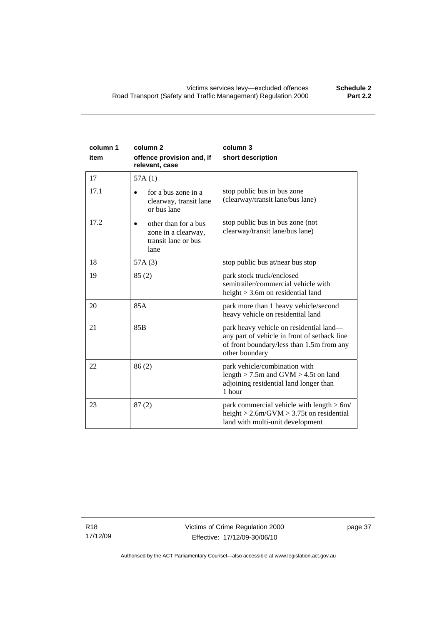| column 1<br>item | column <sub>2</sub><br>offence provision and, if<br>relevant, case         | column 3<br>short description                                                                                                                          |
|------------------|----------------------------------------------------------------------------|--------------------------------------------------------------------------------------------------------------------------------------------------------|
| 17               | 57A(1)                                                                     |                                                                                                                                                        |
| 17.1             | for a bus zone in a<br>clearway, transit lane<br>or bus lane               | stop public bus in bus zone<br>(clearway/transit lane/bus lane)                                                                                        |
| 17.2             | other than for a bus<br>zone in a clearway,<br>transit lane or bus<br>lane | stop public bus in bus zone (not<br>clearway/transit lane/bus lane)                                                                                    |
| 18               | 57A(3)                                                                     | stop public bus at/near bus stop                                                                                                                       |
| 19               | 85(2)                                                                      | park stock truck/enclosed<br>semitrailer/commercial vehicle with<br>height $>$ 3.6m on residential land                                                |
| 20               | 85A                                                                        | park more than 1 heavy vehicle/second<br>heavy vehicle on residential land                                                                             |
| 21               | 85 <sub>B</sub>                                                            | park heavy vehicle on residential land—<br>any part of vehicle in front of setback line<br>of front boundary/less than 1.5m from any<br>other boundary |
| 22               | 86(2)                                                                      | park vehicle/combination with<br>length $>$ 7.5m and GVM $>$ 4.5t on land<br>adjoining residential land longer than<br>1 hour                          |
| 23               | 87(2)                                                                      | park commercial vehicle with length $> 6m/$<br>height $> 2.6$ m/GVM $> 3.75$ t on residential<br>land with multi-unit development                      |

R18 17/12/09 page 37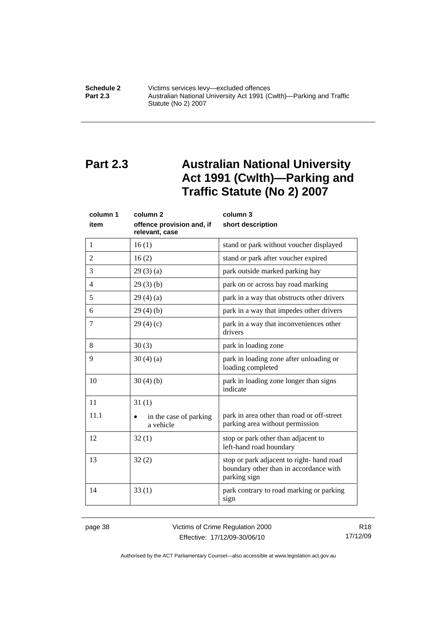<span id="page-43-0"></span>**Schedule 2 Victims services levy—excluded offences**<br>**Part 2.3 Australian National University Act 1991 (C Part 2.3** Australian National University Act 1991 (Cwlth)—Parking and Traffic Statute (No 2) 2007

# **Part 2.3 Australian National University Act 1991 (Cwlth)—Parking and Traffic Statute (No 2) 2007**

| column 1<br>item | column <sub>2</sub><br>offence provision and, if<br>relevant, case | column 3<br>short description                                                                      |  |
|------------------|--------------------------------------------------------------------|----------------------------------------------------------------------------------------------------|--|
| 1                | 16(1)                                                              | stand or park without voucher displayed                                                            |  |
| $\overline{2}$   | 16(2)                                                              | stand or park after voucher expired                                                                |  |
| 3                | 29(3)(a)                                                           | park outside marked parking bay                                                                    |  |
| $\overline{4}$   | 29(3)(b)                                                           | park on or across bay road marking                                                                 |  |
| 5                | 29(4)(a)                                                           | park in a way that obstructs other drivers                                                         |  |
| 6                | 29(4)(b)                                                           | park in a way that impedes other drivers                                                           |  |
| 7                | 29(4)(c)                                                           | park in a way that inconveniences other<br>drivers                                                 |  |
| 8                | 30(3)                                                              | park in loading zone                                                                               |  |
| 9                | 30(4)(a)                                                           | park in loading zone after unloading or<br>loading completed                                       |  |
| 10               | 30(4)(b)                                                           | park in loading zone longer than signs<br>indicate                                                 |  |
| 11               | 31(1)                                                              |                                                                                                    |  |
| 11.1             | in the case of parking<br>a vehicle                                | park in area other than road or off-street<br>parking area without permission                      |  |
| 12               | 32(1)                                                              | stop or park other than adjacent to<br>left-hand road boundary                                     |  |
| 13               | 32(2)                                                              | stop or park adjacent to right-hand road<br>boundary other than in accordance with<br>parking sign |  |
| 14               | 33(1)                                                              | park contrary to road marking or parking<br>sign                                                   |  |

page 38 Victims of Crime Regulation 2000 Effective: 17/12/09-30/06/10

R18 17/12/09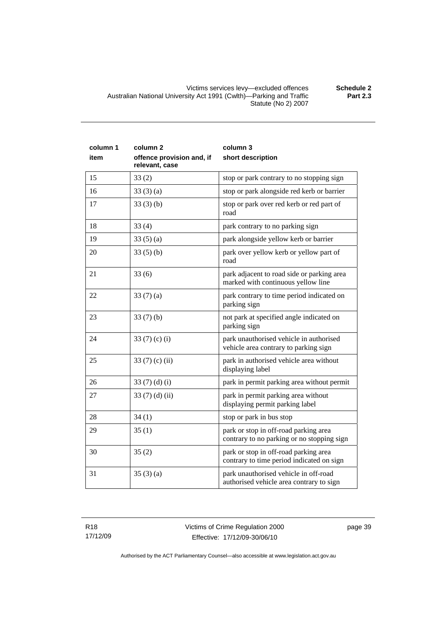Victims services levy—excluded offences **Schedule 2**  Australian National University Act 1991 (Cwlth)—Parking and Traffic Statute (No 2) 2007

| column 1<br>item | column <sub>2</sub><br>offence provision and, if<br>relevant, case | column 3<br>short description                                                       |  |
|------------------|--------------------------------------------------------------------|-------------------------------------------------------------------------------------|--|
| 15               | 33(2)                                                              | stop or park contrary to no stopping sign                                           |  |
| 16               | 33(3)(a)                                                           | stop or park alongside red kerb or barrier                                          |  |
| 17               | 33(3)(b)                                                           | stop or park over red kerb or red part of<br>road                                   |  |
| 18               | 33(4)                                                              | park contrary to no parking sign                                                    |  |
| 19               | 33(5)(a)                                                           | park alongside yellow kerb or barrier                                               |  |
| 20               | 33(5)(b)                                                           | park over yellow kerb or yellow part of<br>road                                     |  |
| 21               | 33(6)                                                              | park adjacent to road side or parking area<br>marked with continuous yellow line    |  |
| 22               | 33 $(7)(a)$                                                        | park contrary to time period indicated on<br>parking sign                           |  |
| 23               | 33(7)(b)                                                           | not park at specified angle indicated on<br>parking sign                            |  |
| 24               | 33 $(7)$ $(c)$ $(i)$                                               | park unauthorised vehicle in authorised<br>vehicle area contrary to parking sign    |  |
| 25               | 33 $(7)$ $(c)$ $(ii)$                                              | park in authorised vehicle area without<br>displaying label                         |  |
| 26               | 33 $(7)(d)(i)$                                                     | park in permit parking area without permit                                          |  |
| 27               | 33(7)(d)(ii)                                                       | park in permit parking area without<br>displaying permit parking label              |  |
| 28               | 34(1)                                                              | stop or park in bus stop                                                            |  |
| 29               | 35(1)                                                              | park or stop in off-road parking area<br>contrary to no parking or no stopping sign |  |
| 30               | 35(2)                                                              | park or stop in off-road parking area<br>contrary to time period indicated on sign  |  |
| 31               | 35(3)(a)                                                           | park unauthorised vehicle in off-road<br>authorised vehicle area contrary to sign   |  |

R18 17/12/09 page 39

Authorised by the ACT Parliamentary Counsel—also accessible at www.legislation.act.gov.au

**Part 2.3**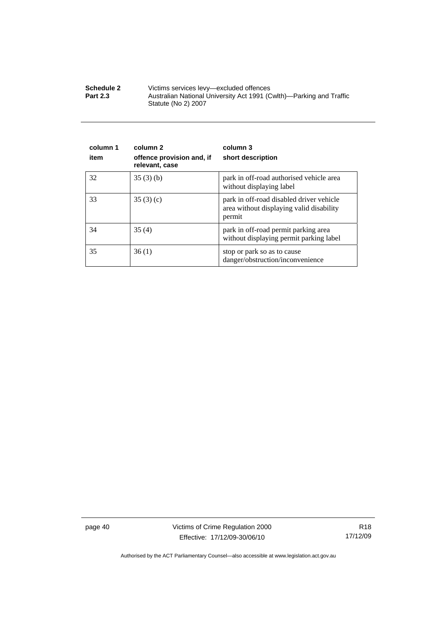| <b>Schedule 2</b> | Victims services levy—excluded offences                                                    |
|-------------------|--------------------------------------------------------------------------------------------|
| <b>Part 2.3</b>   | Australian National University Act 1991 (Cwlth)—Parking and Traffic<br>Statute (No 2) 2007 |

| column 1<br>item | column 2<br>offence provision and, if<br>relevant, case | column 3<br>short description                                                                  |
|------------------|---------------------------------------------------------|------------------------------------------------------------------------------------------------|
| 32               | 35(3)(b)                                                | park in off-road authorised vehicle area<br>without displaying label                           |
| 33               | 35(3)(c)                                                | park in off-road disabled driver vehicle<br>area without displaying valid disability<br>permit |
| 34               | 35(4)                                                   | park in off-road permit parking area<br>without displaying permit parking label                |
| 35               | 36(1)                                                   | stop or park so as to cause<br>danger/obstruction/inconvenience                                |

page 40 Victims of Crime Regulation 2000 Effective: 17/12/09-30/06/10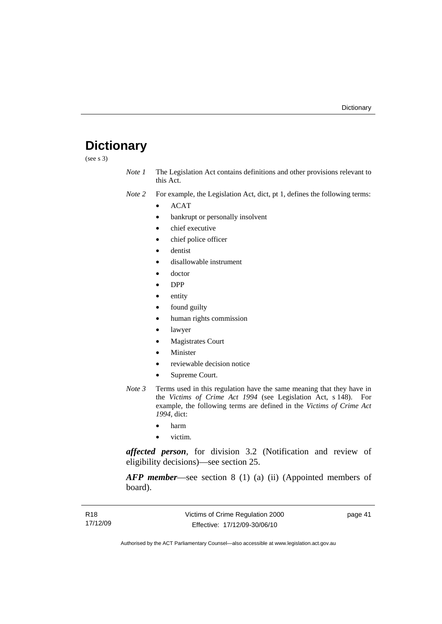## <span id="page-46-0"></span>**Dictionary**

(see s 3)

- *Note 1* The Legislation Act contains definitions and other provisions relevant to this Act.
- *Note 2* For example, the Legislation Act, dict, pt 1, defines the following terms:
	- ACAT
		- bankrupt or personally insolvent
		- chief executive
		- chief police officer
		- dentist
		- disallowable instrument
		- doctor
		- DPP
		- entity
		- found guilty
		- human rights commission
		- lawyer
		- Magistrates Court
		- **Minister**
		- reviewable decision notice
		- Supreme Court.
- *Note 3* Terms used in this regulation have the same meaning that they have in the *Victims of Crime Act 1994* (see Legislation Act, s 148). For example, the following terms are defined in the *Victims of Crime Act 1994*, dict:
	- harm
	- victim.

*affected person*, for division 3.2 (Notification and review of eligibility decisions)—see section 25.

*AFP member*—see section 8 (1) (a) (ii) (Appointed members of board).

page 41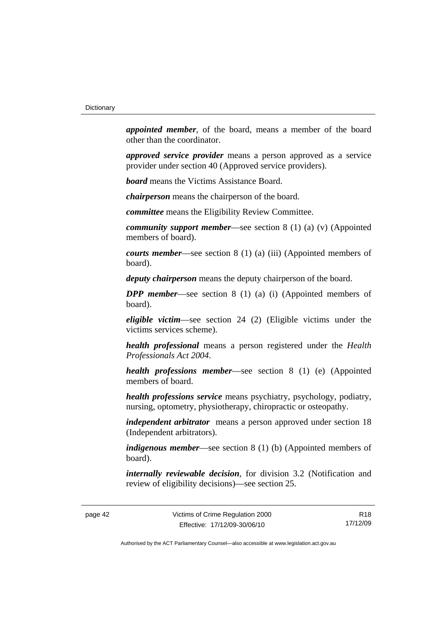*appointed member*, of the board, means a member of the board other than the coordinator.

*approved service provider* means a person approved as a service provider under section 40 (Approved service providers).

*board* means the Victims Assistance Board.

*chairperson* means the chairperson of the board.

*committee* means the Eligibility Review Committee.

*community support member*—see section 8 (1) (a) (v) (Appointed members of board).

*courts member*—see section 8 (1) (a) (iii) (Appointed members of board).

*deputy chairperson* means the deputy chairperson of the board.

*DPP member*—see section 8 (1) (a) (i) (Appointed members of board).

*eligible victim*—see section 24 (2) (Eligible victims under the victims services scheme).

*health professional* means a person registered under the *Health Professionals Act 2004*.

*health professions member*—see section 8 (1) (e) (Appointed members of board.

*health professions service* means psychiatry, psychology, podiatry, nursing, optometry, physiotherapy, chiropractic or osteopathy.

*independent arbitrator* means a person approved under section 18 (Independent arbitrators).

*indigenous member*—see section 8 (1) (b) (Appointed members of board).

*internally reviewable decision*, for division 3.2 (Notification and review of eligibility decisions)—see section 25.

page 42 Victims of Crime Regulation 2000 Effective: 17/12/09-30/06/10

R18 17/12/09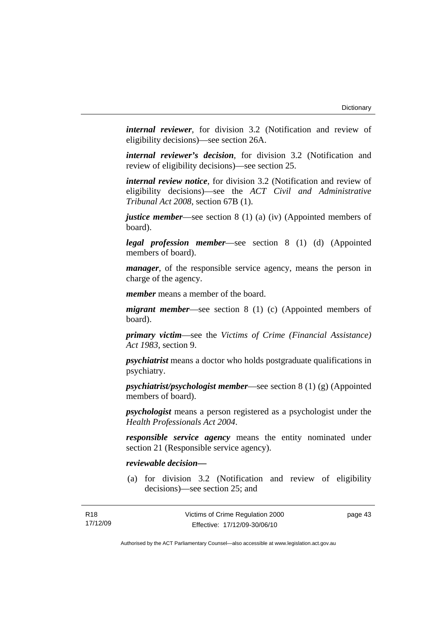*internal reviewer*, for division 3.2 (Notification and review of eligibility decisions)—see section 26A.

*internal reviewer's decision*, for division 3.2 (Notification and review of eligibility decisions)—see section 25.

*internal review notice*, for division 3.2 (Notification and review of eligibility decisions)—see the *ACT Civil and Administrative Tribunal Act 2008*, section 67B (1).

*justice member*—see section 8 (1) (a) (iv) (Appointed members of board).

*legal profession member*—see section 8 (1) (d) (Appointed members of board).

*manager*, of the responsible service agency, means the person in charge of the agency.

*member* means a member of the board.

*migrant member*—see section 8 (1) (c) (Appointed members of board).

*primary victim*—see the *Victims of Crime (Financial Assistance) Act 1983*, section 9.

*psychiatrist* means a doctor who holds postgraduate qualifications in psychiatry.

*psychiatrist/psychologist member*—see section 8 (1) (g) (Appointed members of board).

*psychologist* means a person registered as a psychologist under the *Health Professionals Act 2004*.

*responsible service agency* means the entity nominated under section 21 (Responsible service agency).

### *reviewable decision—*

R18

 (a) for division 3.2 (Notification and review of eligibility decisions)—see section 25; and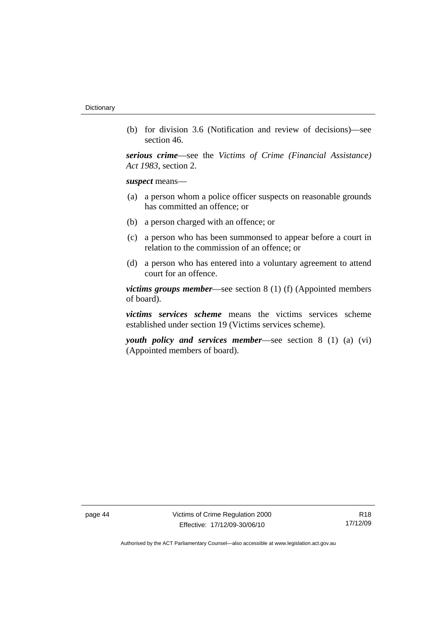(b) for division 3.6 (Notification and review of decisions)—see section 46.

*serious crime*—see the *Victims of Crime (Financial Assistance) Act 1983*, section 2.

*suspect* means—

- (a) a person whom a police officer suspects on reasonable grounds has committed an offence; or
- (b) a person charged with an offence; or
- (c) a person who has been summonsed to appear before a court in relation to the commission of an offence; or
- (d) a person who has entered into a voluntary agreement to attend court for an offence.

*victims groups member*—see section 8 (1) (f) (Appointed members of board).

*victims services scheme* means the victims services scheme established under section 19 (Victims services scheme).

*youth policy and services member*—see section 8 (1) (a) (vi) (Appointed members of board).

page 44 Victims of Crime Regulation 2000 Effective: 17/12/09-30/06/10

R18 17/12/09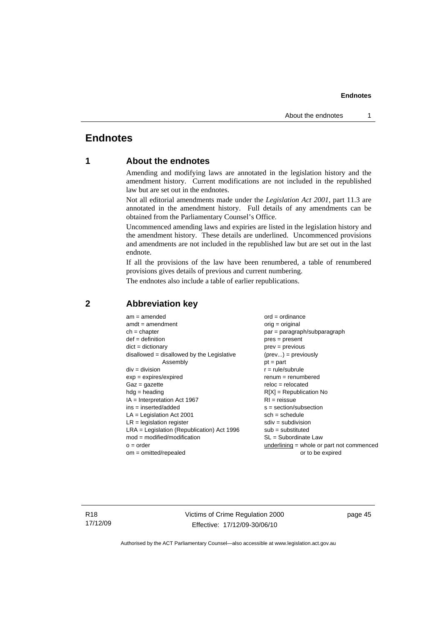## <span id="page-50-0"></span>**Endnotes**

## **1 About the endnotes**

Amending and modifying laws are annotated in the legislation history and the amendment history. Current modifications are not included in the republished law but are set out in the endnotes.

Not all editorial amendments made under the *Legislation Act 2001*, part 11.3 are annotated in the amendment history. Full details of any amendments can be obtained from the Parliamentary Counsel's Office.

Uncommenced amending laws and expiries are listed in the legislation history and the amendment history. These details are underlined. Uncommenced provisions and amendments are not included in the republished law but are set out in the last endnote.

If all the provisions of the law have been renumbered, a table of renumbered provisions gives details of previous and current numbering.

The endnotes also include a table of earlier republications.

| $am = amended$                               | $ord = ordinance$                         |  |
|----------------------------------------------|-------------------------------------------|--|
| $amdt = amendment$                           | $orig = original$                         |  |
| $ch = chapter$                               | $par = paragraph/subparagraph$            |  |
| $def = definition$                           | $pres = present$                          |  |
| $dict = dictionary$                          | $prev = previous$                         |  |
| disallowed = disallowed by the Legislative   | $(\text{prev}) = \text{previously}$       |  |
| Assembly                                     | $pt = part$                               |  |
| $div = division$                             | $r = rule/subrule$                        |  |
| $exp = expires/expired$                      | $remum = renumbered$                      |  |
| $Gaz = gazette$                              | $reloc = relocated$                       |  |
| $hdg =$ heading                              | $R[X]$ = Republication No                 |  |
| $IA = Interpretation Act 1967$               | $RI = reissue$                            |  |
| $ins = inserted/added$                       | $s = section/subsection$                  |  |
| $LA =$ Legislation Act 2001                  | $sch = schedule$                          |  |
| $LR =$ legislation register                  | $sdiv = subdivision$                      |  |
| $LRA =$ Legislation (Republication) Act 1996 | $sub =$ substituted                       |  |
| $mod = modified/modification$                | SL = Subordinate Law                      |  |
| $o = order$                                  | underlining = whole or part not commenced |  |
| $om = omitted/repealed$                      | or to be expired                          |  |
|                                              |                                           |  |

### **2 Abbreviation key**

R18 17/12/09 Victims of Crime Regulation 2000 Effective: 17/12/09-30/06/10

page 45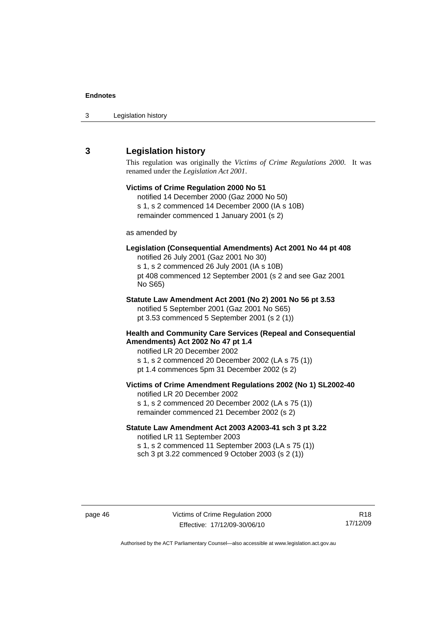<span id="page-51-0"></span>

| 3 | Legislation history |  |
|---|---------------------|--|
|---|---------------------|--|

## **3 Legislation history**

This regulation was originally the *Victims of Crime Regulations 2000*. It was renamed under the *Legislation Act 2001*.

## **Victims of Crime Regulation 2000 No 51**  notified 14 December 2000 (Gaz 2000 No 50) s 1, s 2 commenced 14 December 2000 (IA s 10B) remainder commenced 1 January 2001 (s 2) as amended by **Legislation (Consequential Amendments) Act 2001 No 44 pt 408**  notified 26 July 2001 (Gaz 2001 No 30) s 1, s 2 commenced 26 July 2001 (IA s 10B) pt 408 commenced 12 September 2001 (s 2 and see Gaz 2001 No S65) **Statute Law Amendment Act 2001 (No 2) 2001 No 56 pt 3.53**  notified 5 September 2001 (Gaz 2001 No S65) pt 3.53 commenced 5 September 2001 (s 2 (1)) **Health and Community Care Services (Repeal and Consequential Amendments) Act 2002 No 47 pt 1.4**  notified LR 20 December 2002 s 1, s 2 commenced 20 December 2002 (LA s 75 (1)) pt 1.4 commences 5pm 31 December 2002 (s 2) **Victims of Crime Amendment Regulations 2002 (No 1) SL2002-40**  notified LR 20 December 2002 s 1, s 2 commenced 20 December 2002 (LA s 75 (1)) remainder commenced 21 December 2002 (s 2) **Statute Law Amendment Act 2003 A2003-41 sch 3 pt 3.22**

notified LR 11 September 2003 s 1, s 2 commenced 11 September 2003 (LA s 75 (1)) sch 3 pt 3.22 commenced 9 October 2003 (s 2 (1))

R18 17/12/09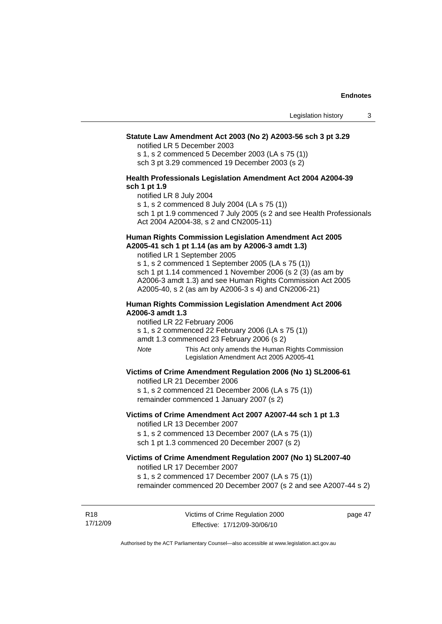### **Statute Law Amendment Act 2003 (No 2) A2003-56 sch 3 pt 3.29**

notified LR 5 December 2003

s 1, s 2 commenced 5 December 2003 (LA s 75 (1)) sch 3 pt 3.29 commenced 19 December 2003 (s 2)

### **Health Professionals Legislation Amendment Act 2004 A2004-39 sch 1 pt 1.9**

notified LR 8 July 2004

s 1, s 2 commenced 8 July 2004 (LA s 75 (1))

sch 1 pt 1.9 commenced 7 July 2005 (s 2 and see Health Professionals Act 2004 A2004-38, s 2 and CN2005-11)

### **Human Rights Commission Legislation Amendment Act 2005 A2005-41 sch 1 pt 1.14 (as am by A2006-3 amdt 1.3)**

notified LR 1 September 2005 s 1, s 2 commenced 1 September 2005 (LA s 75 (1)) sch 1 pt 1.14 commenced 1 November 2006 (s 2 (3) (as am by A2006-3 amdt 1.3) and see Human Rights Commission Act 2005 A2005-40, s 2 (as am by A2006-3 s 4) and CN2006-21)

### **Human Rights Commission Legislation Amendment Act 2006 A2006-3 amdt 1.3**

notified LR 22 February 2006

s 1, s 2 commenced 22 February 2006 (LA s 75 (1))

amdt 1.3 commenced 23 February 2006 (s 2)

*Note* This Act only amends the Human Rights Commission Legislation Amendment Act 2005 A2005-41

### **Victims of Crime Amendment Regulation 2006 (No 1) SL2006-61**

notified LR 21 December 2006

s 1, s 2 commenced 21 December 2006 (LA s 75 (1)) remainder commenced 1 January 2007 (s 2)

### **Victims of Crime Amendment Act 2007 A2007-44 sch 1 pt 1.3**  notified LR 13 December 2007

s 1, s 2 commenced 13 December 2007 (LA s 75 (1)) sch 1 pt 1.3 commenced 20 December 2007 (s 2)

#### **Victims of Crime Amendment Regulation 2007 (No 1) SL2007-40**  notified LR 17 December 2007

s 1, s 2 commenced 17 December 2007 (LA s 75 (1)) remainder commenced 20 December 2007 (s 2 and see A2007-44 s 2)

R18 17/12/09 page 47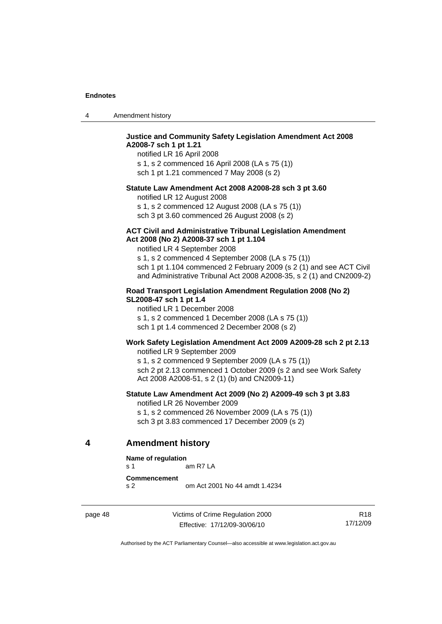<span id="page-53-0"></span>

| $\boldsymbol{\Lambda}$ | Amendment history |
|------------------------|-------------------|
|------------------------|-------------------|

### **Justice and Community Safety Legislation Amendment Act 2008 A2008-7 sch 1 pt 1.21**

notified LR 16 April 2008 s 1, s 2 commenced 16 April 2008 (LA s 75 (1)) sch 1 pt 1.21 commenced 7 May 2008 (s 2)

### **Statute Law Amendment Act 2008 A2008-28 sch 3 pt 3.60**

notified LR 12 August 2008

s 1, s 2 commenced 12 August 2008 (LA s 75 (1)) sch 3 pt 3.60 commenced 26 August 2008 (s 2)

#### **ACT Civil and Administrative Tribunal Legislation Amendment Act 2008 (No 2) A2008-37 sch 1 pt 1.104**

notified LR 4 September 2008

s 1, s 2 commenced 4 September 2008 (LA s 75 (1)) sch 1 pt 1.104 commenced 2 February 2009 (s 2 (1) and see ACT Civil and Administrative Tribunal Act 2008 A2008-35, s 2 (1) and CN2009-2)

### **Road Transport Legislation Amendment Regulation 2008 (No 2) SL2008-47 sch 1 pt 1.4**

notified LR 1 December 2008 s 1, s 2 commenced 1 December 2008 (LA s 75 (1)) sch 1 pt 1.4 commenced 2 December 2008 (s 2)

#### **Work Safety Legislation Amendment Act 2009 A2009-28 sch 2 pt 2.13**

notified LR 9 September 2009

s 1, s 2 commenced 9 September 2009 (LA s 75 (1)) sch 2 pt 2.13 commenced 1 October 2009 (s 2 and see Work Safety Act 2008 A2008-51, s 2 (1) (b) and CN2009-11)

### **Statute Law Amendment Act 2009 (No 2) A2009-49 sch 3 pt 3.83**

notified LR 26 November 2009

s 1, s 2 commenced 26 November 2009 (LA s 75 (1)) sch 3 pt 3.83 commenced 17 December 2009 (s 2)

### **4 Amendment history**

#### **Name of regulation**

s 1 am R7 LA

**Commencement** 

s 2 om Act 2001 No 44 amdt 1.4234

page 48 Victims of Crime Regulation 2000 Effective: 17/12/09-30/06/10

R18 17/12/09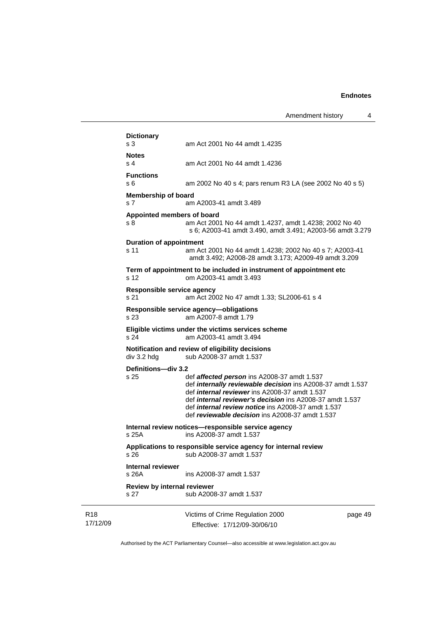|                             | <b>Dictionary</b>                      |                                                                                                                                                                                                                                                                                                                                                                    |         |
|-----------------------------|----------------------------------------|--------------------------------------------------------------------------------------------------------------------------------------------------------------------------------------------------------------------------------------------------------------------------------------------------------------------------------------------------------------------|---------|
|                             | s 3                                    | am Act 2001 No 44 amdt 1.4235                                                                                                                                                                                                                                                                                                                                      |         |
|                             | <b>Notes</b><br>s <sub>4</sub>         | am Act 2001 No 44 amdt 1.4236                                                                                                                                                                                                                                                                                                                                      |         |
|                             | <b>Functions</b><br>s 6                | am 2002 No 40 s 4; pars renum R3 LA (see 2002 No 40 s 5)                                                                                                                                                                                                                                                                                                           |         |
|                             | <b>Membership of board</b><br>s 7      | am A2003-41 amdt 3.489                                                                                                                                                                                                                                                                                                                                             |         |
|                             | Appointed members of board<br>s 8      | am Act 2001 No 44 amdt 1.4237, amdt 1.4238; 2002 No 40<br>s 6; A2003-41 amdt 3.490, amdt 3.491; A2003-56 amdt 3.279                                                                                                                                                                                                                                                |         |
|                             | <b>Duration of appointment</b><br>s 11 | am Act 2001 No 44 amdt 1.4238; 2002 No 40 s 7; A2003-41<br>amdt 3.492; A2008-28 amdt 3.173; A2009-49 amdt 3.209                                                                                                                                                                                                                                                    |         |
|                             | s 12                                   | Term of appointment to be included in instrument of appointment etc<br>om A2003-41 amdt 3.493                                                                                                                                                                                                                                                                      |         |
|                             | Responsible service agency<br>s 21     | am Act 2002 No 47 amdt 1.33; SL2006-61 s 4                                                                                                                                                                                                                                                                                                                         |         |
|                             | s 23                                   | Responsible service agency-obligations<br>am A2007-8 amdt 1.79                                                                                                                                                                                                                                                                                                     |         |
|                             | s 24                                   | Eligible victims under the victims services scheme<br>am A2003-41 amdt 3.494                                                                                                                                                                                                                                                                                       |         |
|                             | div 3.2 hdg                            | Notification and review of eligibility decisions<br>sub A2008-37 amdt 1.537                                                                                                                                                                                                                                                                                        |         |
|                             | Definitions-div 3.2<br>s 25            | def <b>affected person</b> ins A2008-37 amdt 1.537<br>def <i>internally reviewable decision</i> ins A2008-37 amdt 1.537<br>def <i>internal reviewer</i> ins A2008-37 amdt 1.537<br>def <i>internal reviewer's decision</i> ins A2008-37 amdt 1.537<br>def <i>internal review notice</i> ins A2008-37 amdt 1.537<br>def reviewable decision ins A2008-37 amdt 1.537 |         |
|                             | s 25A                                  | Internal review notices-responsible service agency<br>ins A2008-37 amdt 1.537                                                                                                                                                                                                                                                                                      |         |
|                             | s 26                                   | Applications to responsible service agency for internal review<br>sub A2008-37 amdt 1.537                                                                                                                                                                                                                                                                          |         |
|                             | <b>Internal reviewer</b><br>s 26A      | ins A2008-37 amdt 1.537                                                                                                                                                                                                                                                                                                                                            |         |
|                             | Review by internal reviewer<br>s 27    | sub A2008-37 amdt 1.537                                                                                                                                                                                                                                                                                                                                            |         |
| R <sub>18</sub><br>17/12/09 |                                        | Victims of Crime Regulation 2000<br>Effective: 17/12/09-30/06/10                                                                                                                                                                                                                                                                                                   | page 49 |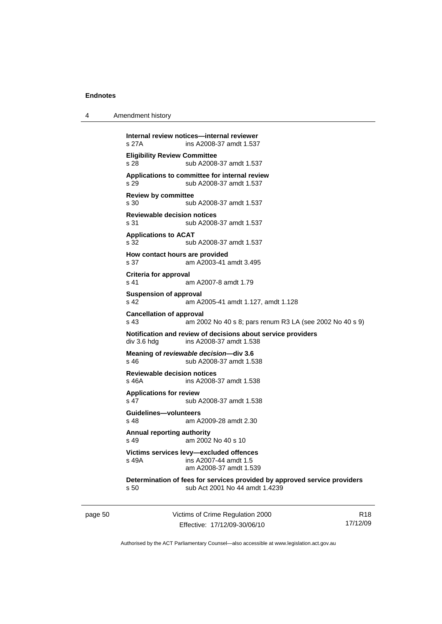| 4 | Amendment history |
|---|-------------------|
|---|-------------------|

| Internal review notices-internal reviewer<br>s 27A<br>ins A2008-37 amdt 1.537 |                                                                                                             |  |
|-------------------------------------------------------------------------------|-------------------------------------------------------------------------------------------------------------|--|
| <b>Eligibility Review Committee</b><br>s 28                                   | sub A2008-37 amdt 1.537                                                                                     |  |
| s 29                                                                          | Applications to committee for internal review<br>sub A2008-37 amdt 1.537                                    |  |
| <b>Review by committee</b><br>s 30                                            | sub A2008-37 amdt 1.537                                                                                     |  |
| <b>Reviewable decision notices</b><br>s 31                                    | sub A2008-37 amdt 1.537                                                                                     |  |
| <b>Applications to ACAT</b><br>s 32                                           | sub A2008-37 amdt 1.537                                                                                     |  |
| How contact hours are provided<br>s 37                                        | am A2003-41 amdt 3.495                                                                                      |  |
| Criteria for approval<br>s 41                                                 | am A2007-8 amdt 1.79                                                                                        |  |
| Suspension of approval<br>s 42                                                | am A2005-41 amdt 1.127, amdt 1.128                                                                          |  |
| <b>Cancellation of approval</b><br>s 43                                       | am 2002 No 40 s 8; pars renum R3 LA (see 2002 No 40 s 9)                                                    |  |
| div 3.6 hdg                                                                   | Notification and review of decisions about service providers<br>ins A2008-37 amdt 1.538                     |  |
| s 46                                                                          | Meaning of reviewable decision-div 3.6<br>sub A2008-37 amdt 1.538                                           |  |
| <b>Reviewable decision notices</b><br>s 46A                                   | ins A2008-37 amdt 1.538                                                                                     |  |
| <b>Applications for review</b><br>s 47                                        | sub A2008-37 amdt 1.538                                                                                     |  |
| Guidelines-volunteers<br>s 48                                                 | am A2009-28 amdt 2.30                                                                                       |  |
| Annual reporting authority<br>s 49                                            | am 2002 No 40 s 10                                                                                          |  |
| s 49A                                                                         | Victims services levy-excluded offences<br>ins A2007-44 amdt 1.5<br>am A2008-37 amdt 1.539                  |  |
| s 50                                                                          | Determination of fees for services provided by approved service providers<br>sub Act 2001 No 44 amdt 1.4239 |  |

page 50 Victims of Crime Regulation 2000 Effective: 17/12/09-30/06/10

R18 17/12/09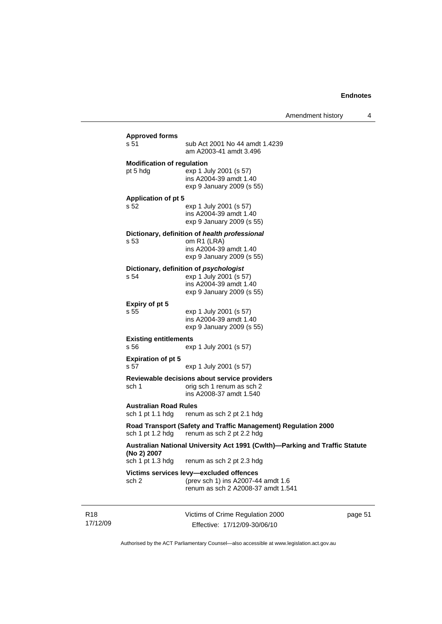Amendment history 4

| <b>Approved forms</b>                            |                                                                                                                         |
|--------------------------------------------------|-------------------------------------------------------------------------------------------------------------------------|
| s 51                                             | sub Act 2001 No 44 amdt 1.4239<br>am A2003-41 amdt 3.496                                                                |
| <b>Modification of regulation</b><br>pt 5 hdg    | exp 1 July 2001 (s 57)<br>ins A2004-39 amdt 1.40<br>exp 9 January 2009 (s 55)                                           |
| <b>Application of pt 5</b>                       |                                                                                                                         |
| s 52                                             | exp 1 July 2001 (s 57)<br>ins A2004-39 amdt 1.40<br>exp 9 January 2009 (s 55)                                           |
| s 53                                             | Dictionary, definition of health professional<br>om R1 (LRA)<br>ins A2004-39 amdt 1.40<br>exp 9 January 2009 (s 55)     |
| s 54                                             | Dictionary, definition of psychologist<br>exp 1 July 2001 (s 57)<br>ins A2004-39 amdt 1.40<br>exp 9 January 2009 (s 55) |
| Expiry of pt 5<br>s 55                           | exp 1 July 2001 (s 57)<br>ins A2004-39 amdt 1.40<br>exp 9 January 2009 (s 55)                                           |
| <b>Existing entitlements</b><br>s 56             | exp 1 July 2001 (s 57)                                                                                                  |
| <b>Expiration of pt 5</b><br>s 57                | exp 1 July 2001 (s 57)                                                                                                  |
| sch 1                                            | Reviewable decisions about service providers<br>orig sch 1 renum as sch 2<br>ins A2008-37 amdt 1.540                    |
| <b>Australian Road Rules</b><br>sch 1 pt 1.1 hdg | renum as sch 2 pt 2.1 hdg                                                                                               |
| sch 1 pt 1.2 hdg                                 | Road Transport (Safety and Traffic Management) Regulation 2000<br>renum as sch 2 pt 2.2 hdg                             |
| (No 2) 2007                                      | Australian National University Act 1991 (Cwlth)-Parking and Traffic Statute                                             |
| sch 1 pt 1.3 hdg                                 | renum as sch 2 pt 2.3 hdg                                                                                               |
|                                                  | Victims services levy-excluded offences<br>(prev sch 1) ins A2007-44 amdt 1.6                                           |

R18 17/12/09 Victims of Crime Regulation 2000 Effective: 17/12/09-30/06/10

page 51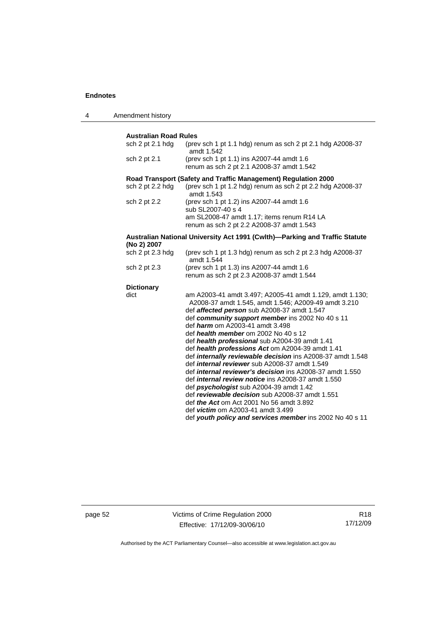4 Amendment history

| <b>Australian Road Rules</b><br>sch 2 pt 2.1 hdg<br>(prev sch 1 pt 1.1 hdg) renum as sch 2 pt 2.1 hdg A2008-37<br>amdt 1.542<br>(prev sch 1 pt 1.1) ins A2007-44 amdt 1.6<br>sch 2 pt 2.1<br>renum as sch 2 pt 2.1 A2008-37 amdt 1.542<br>Road Transport (Safety and Traffic Management) Regulation 2000<br>(prev sch 1 pt 1.2 hdg) renum as sch 2 pt 2.2 hdg A2008-37<br>sch 2 pt 2.2 hdg<br>amdt 1.543<br>(prev sch 1 pt 1.2) ins A2007-44 amdt 1.6<br>sch 2 pt 2.2<br>sub SL2007-40 s 4<br>am SL2008-47 amdt 1.17; items renum R14 LA<br>renum as sch 2 pt 2.2 A2008-37 amdt 1.543<br>Australian National University Act 1991 (Cwlth)—Parking and Traffic Statute<br>(No 2) 2007<br>sch 2 pt 2.3 hdg<br>(prev sch 1 pt 1.3 hdg) renum as sch 2 pt 2.3 hdg A2008-37<br>amdt 1.544<br>(prev sch 1 pt 1.3) ins A2007-44 amdt 1.6<br>sch 2 pt 2.3<br>renum as sch 2 pt 2.3 A2008-37 amdt 1.544<br><b>Dictionary</b><br>dict<br>am A2003-41 amdt 3.497; A2005-41 amdt 1.129, amdt 1.130;<br>A2008-37 amdt 1.545, amdt 1.546; A2009-49 amdt 3.210<br>def affected person sub A2008-37 amdt 1.547<br>def community support member ins 2002 No 40 s 11<br>def <i>harm</i> om A2003-41 amdt 3.498<br>def health member om 2002 No 40 s 12<br>def health professional sub A2004-39 amdt 1.41<br>def health professions Act om A2004-39 amdt 1.41<br>def <i>internally reviewable decision</i> ins A2008-37 amdt 1.548<br>def <i>internal reviewer</i> sub A2008-37 amdt 1.549<br>def <i>internal reviewer's decision</i> ins A2008-37 amdt 1.550<br>def <i>internal review notice</i> ins A2008-37 amdt 1.550<br>def psychologist sub A2004-39 amdt 1.42<br>def reviewable decision sub A2008-37 amdt 1.551<br>def <i>the Act</i> om Act 2001 No 56 amdt 3.892<br>def victim om A2003-41 amdt 3.499<br>def youth policy and services member ins 2002 No 40 s 11 |  |  |  |  |
|----------------------------------------------------------------------------------------------------------------------------------------------------------------------------------------------------------------------------------------------------------------------------------------------------------------------------------------------------------------------------------------------------------------------------------------------------------------------------------------------------------------------------------------------------------------------------------------------------------------------------------------------------------------------------------------------------------------------------------------------------------------------------------------------------------------------------------------------------------------------------------------------------------------------------------------------------------------------------------------------------------------------------------------------------------------------------------------------------------------------------------------------------------------------------------------------------------------------------------------------------------------------------------------------------------------------------------------------------------------------------------------------------------------------------------------------------------------------------------------------------------------------------------------------------------------------------------------------------------------------------------------------------------------------------------------------------------------------------------------------------------------------------------------------------------------------------------------------------------|--|--|--|--|
|                                                                                                                                                                                                                                                                                                                                                                                                                                                                                                                                                                                                                                                                                                                                                                                                                                                                                                                                                                                                                                                                                                                                                                                                                                                                                                                                                                                                                                                                                                                                                                                                                                                                                                                                                                                                                                                          |  |  |  |  |
|                                                                                                                                                                                                                                                                                                                                                                                                                                                                                                                                                                                                                                                                                                                                                                                                                                                                                                                                                                                                                                                                                                                                                                                                                                                                                                                                                                                                                                                                                                                                                                                                                                                                                                                                                                                                                                                          |  |  |  |  |
|                                                                                                                                                                                                                                                                                                                                                                                                                                                                                                                                                                                                                                                                                                                                                                                                                                                                                                                                                                                                                                                                                                                                                                                                                                                                                                                                                                                                                                                                                                                                                                                                                                                                                                                                                                                                                                                          |  |  |  |  |
|                                                                                                                                                                                                                                                                                                                                                                                                                                                                                                                                                                                                                                                                                                                                                                                                                                                                                                                                                                                                                                                                                                                                                                                                                                                                                                                                                                                                                                                                                                                                                                                                                                                                                                                                                                                                                                                          |  |  |  |  |
|                                                                                                                                                                                                                                                                                                                                                                                                                                                                                                                                                                                                                                                                                                                                                                                                                                                                                                                                                                                                                                                                                                                                                                                                                                                                                                                                                                                                                                                                                                                                                                                                                                                                                                                                                                                                                                                          |  |  |  |  |
|                                                                                                                                                                                                                                                                                                                                                                                                                                                                                                                                                                                                                                                                                                                                                                                                                                                                                                                                                                                                                                                                                                                                                                                                                                                                                                                                                                                                                                                                                                                                                                                                                                                                                                                                                                                                                                                          |  |  |  |  |
|                                                                                                                                                                                                                                                                                                                                                                                                                                                                                                                                                                                                                                                                                                                                                                                                                                                                                                                                                                                                                                                                                                                                                                                                                                                                                                                                                                                                                                                                                                                                                                                                                                                                                                                                                                                                                                                          |  |  |  |  |
|                                                                                                                                                                                                                                                                                                                                                                                                                                                                                                                                                                                                                                                                                                                                                                                                                                                                                                                                                                                                                                                                                                                                                                                                                                                                                                                                                                                                                                                                                                                                                                                                                                                                                                                                                                                                                                                          |  |  |  |  |
|                                                                                                                                                                                                                                                                                                                                                                                                                                                                                                                                                                                                                                                                                                                                                                                                                                                                                                                                                                                                                                                                                                                                                                                                                                                                                                                                                                                                                                                                                                                                                                                                                                                                                                                                                                                                                                                          |  |  |  |  |
|                                                                                                                                                                                                                                                                                                                                                                                                                                                                                                                                                                                                                                                                                                                                                                                                                                                                                                                                                                                                                                                                                                                                                                                                                                                                                                                                                                                                                                                                                                                                                                                                                                                                                                                                                                                                                                                          |  |  |  |  |
|                                                                                                                                                                                                                                                                                                                                                                                                                                                                                                                                                                                                                                                                                                                                                                                                                                                                                                                                                                                                                                                                                                                                                                                                                                                                                                                                                                                                                                                                                                                                                                                                                                                                                                                                                                                                                                                          |  |  |  |  |
|                                                                                                                                                                                                                                                                                                                                                                                                                                                                                                                                                                                                                                                                                                                                                                                                                                                                                                                                                                                                                                                                                                                                                                                                                                                                                                                                                                                                                                                                                                                                                                                                                                                                                                                                                                                                                                                          |  |  |  |  |
|                                                                                                                                                                                                                                                                                                                                                                                                                                                                                                                                                                                                                                                                                                                                                                                                                                                                                                                                                                                                                                                                                                                                                                                                                                                                                                                                                                                                                                                                                                                                                                                                                                                                                                                                                                                                                                                          |  |  |  |  |
|                                                                                                                                                                                                                                                                                                                                                                                                                                                                                                                                                                                                                                                                                                                                                                                                                                                                                                                                                                                                                                                                                                                                                                                                                                                                                                                                                                                                                                                                                                                                                                                                                                                                                                                                                                                                                                                          |  |  |  |  |
|                                                                                                                                                                                                                                                                                                                                                                                                                                                                                                                                                                                                                                                                                                                                                                                                                                                                                                                                                                                                                                                                                                                                                                                                                                                                                                                                                                                                                                                                                                                                                                                                                                                                                                                                                                                                                                                          |  |  |  |  |

page 52 Victims of Crime Regulation 2000 Effective: 17/12/09-30/06/10

R18 17/12/09